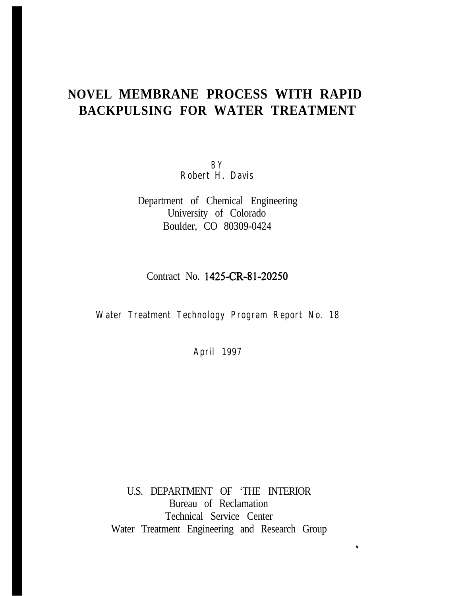# **NOVEL MEMBRANE PROCESS WITH RAPID BACKPULSING FOR WATER TREATMENT**

**B Y Robert H. Davis**

Department of Chemical Engineering University of Colorado Boulder, CO 80309-0424

Contract No. 1425-CR-81-20250

# **Water Treatment Technology Program Report No. 18**

**April 1997**

U.S. DEPARTMENT OF 'THE INTERIOR Bureau of Reclamation Technical Service Center Water Treatment Engineering and Research Group

 $\hat{\mathbf{v}}$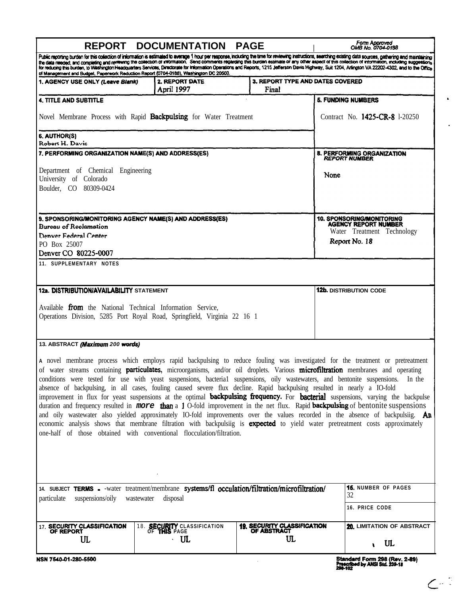| Public reporting burden for this collection of information is estimated to average 1 hour per response, including the time for reviewing instructions, searching existing data sources, gathering and maintaining<br>the data needed, and completing and reviewing the collection of information. Send comments regarding this burden estimate of any other aspect of this collection of information, including suggestions<br>for reducing this burden, to Washington Headquarters Services, Directorate for Information Operations and Reports, 1215 Jefferson Davis Highway, Suit 1204, Arlington VA 22202-4302, and to the Office<br>of Management and Budget, Paperwork Reduction Report (0704-0188), Washington DC 20503.<br>3. REPORT TYPE AND DATES COVERED<br>2. REPORT DATE<br>1. AGENCY USE ONLY (Leave Blank)<br>April 1997<br>Final<br><b>5. FUNDING NUMBERS</b><br><b>4. TITLE AND SUBTITLE</b><br>Novel Membrane Process with Rapid <b>Backpulsing</b> for Water Treatment<br>6. AUTHOR(S)<br>Robert H. Davis<br>7. PERFORMING ORGANIZATION NAME(S) AND ADDRESS(ES)<br>8. PERFORMING ORGANIZATION<br><b>REPORT NUMBER</b><br>Department of Chemical Engineering<br>None<br>University of Colorado<br>Boulder, CO 80309-0424<br>9. SPONSORING/MONITORING AGENCY NAME(S) AND ADDRESS(ES)<br>10. SPONSORING/MONITORING<br>AGENCY REPORT NUMBER<br><b>Bureau of Reclamation</b><br>Denver Federal Center<br>Report No. 18<br>PO Box 25007<br>Denver CO 80225-0007<br>11. SUPPLEMENTARY NOTES<br>12a. DISTRIBUTION/AVAILABILITY STATEMENT<br><b>12b.</b> DISTRIBUTION CODE<br>Available from the National Technical Information Service,<br>Operations Division, 5285 Port Royal Road, Springfield, Virginia 22 16 1<br>13. ABSTRACT (Maximum 200 words)<br>A novel membrane process which employs rapid backpulsing to reduce fouling was investigated for the treatment or pretreatment<br>of water streams containing particulates, microorganisms, and/or oil droplets. Various microfiltration membranes and operating<br>conditions were tested for use with yeast suspensions, bacterial suspensions, oily wastewaters, and bentonite suspensions. In the<br>absence of backpulsing, in all cases, fouling caused severe flux decline. Rapid backpulsing resulted in nearly a IO-fold<br>improvement in flux for yeast suspensions at the optimal <b>backpulsing frequency.</b> For <b>bacterial</b> suspensions, varying the backpulse<br>duration and frequency resulted in <b>more than</b> a 1 O-fold improvement in the net flux. Rapid <b>backpulsing</b> of bentonite suspensions<br>and oily wastewater also yielded approximately IO-fold improvements over the values recorded in the absence of backpulsiig. An<br>economic analysis shows that membrane filtration with backpulsiig is <b>expected</b> to yield water pretreatment costs approximately<br>one-half of those obtained with conventional flocculation/filtration.<br><b>15. NUMBER OF PAGES</b><br>14. SUBJECT TERMS - - water treatment/membrane systems/fl occulation/filtration/microfiltration/<br>32<br>suspensions/oily<br>disposal<br>particulate<br>wastewater<br><b>16. PRICE CODE</b><br><b>19. SECURITY CLASSIFICATION</b><br>17. SECURITY CLASSIFICATION<br>18. <b>SECURITY</b> CLASSIFICATION<br><b>OF ABSTRACT</b><br>OF REPORT<br>OF THIS PAGE<br>UL<br>ա<br>UL<br>UL<br>$\bullet$<br>NSN 7540-01-280-5500 |  | REPORT DOCUMENTATION PAGE      |  | Form Approved<br>OMB No. 0704-0188 |
|----------------------------------------------------------------------------------------------------------------------------------------------------------------------------------------------------------------------------------------------------------------------------------------------------------------------------------------------------------------------------------------------------------------------------------------------------------------------------------------------------------------------------------------------------------------------------------------------------------------------------------------------------------------------------------------------------------------------------------------------------------------------------------------------------------------------------------------------------------------------------------------------------------------------------------------------------------------------------------------------------------------------------------------------------------------------------------------------------------------------------------------------------------------------------------------------------------------------------------------------------------------------------------------------------------------------------------------------------------------------------------------------------------------------------------------------------------------------------------------------------------------------------------------------------------------------------------------------------------------------------------------------------------------------------------------------------------------------------------------------------------------------------------------------------------------------------------------------------------------------------------------------------------------------------------------------------------------------------------------------------------------------------------------------------------------------------------------------------------------------------------------------------------------------------------------------------------------------------------------------------------------------------------------------------------------------------------------------------------------------------------------------------------------------------------------------------------------------------------------------------------------------------------------------------------------------------------------------------------------------------------------------------------------------------------------------------------------------------------------------------------------------------------------------------------------------------------------------------------------------------------------------------------------------------------------------------------------------------------------------------------------------------------------------------------------------------------------------------------------------------------------------------------------------------------------------------------------------------------------------------------------------------------------------------------------------------------------------------------------------------------------------------------------------|--|--------------------------------|--|------------------------------------|
|                                                                                                                                                                                                                                                                                                                                                                                                                                                                                                                                                                                                                                                                                                                                                                                                                                                                                                                                                                                                                                                                                                                                                                                                                                                                                                                                                                                                                                                                                                                                                                                                                                                                                                                                                                                                                                                                                                                                                                                                                                                                                                                                                                                                                                                                                                                                                                                                                                                                                                                                                                                                                                                                                                                                                                                                                                                                                                                                                                                                                                                                                                                                                                                                                                                                                                                                                                                                                      |  |                                |  |                                    |
|                                                                                                                                                                                                                                                                                                                                                                                                                                                                                                                                                                                                                                                                                                                                                                                                                                                                                                                                                                                                                                                                                                                                                                                                                                                                                                                                                                                                                                                                                                                                                                                                                                                                                                                                                                                                                                                                                                                                                                                                                                                                                                                                                                                                                                                                                                                                                                                                                                                                                                                                                                                                                                                                                                                                                                                                                                                                                                                                                                                                                                                                                                                                                                                                                                                                                                                                                                                                                      |  |                                |  |                                    |
|                                                                                                                                                                                                                                                                                                                                                                                                                                                                                                                                                                                                                                                                                                                                                                                                                                                                                                                                                                                                                                                                                                                                                                                                                                                                                                                                                                                                                                                                                                                                                                                                                                                                                                                                                                                                                                                                                                                                                                                                                                                                                                                                                                                                                                                                                                                                                                                                                                                                                                                                                                                                                                                                                                                                                                                                                                                                                                                                                                                                                                                                                                                                                                                                                                                                                                                                                                                                                      |  |                                |  |                                    |
|                                                                                                                                                                                                                                                                                                                                                                                                                                                                                                                                                                                                                                                                                                                                                                                                                                                                                                                                                                                                                                                                                                                                                                                                                                                                                                                                                                                                                                                                                                                                                                                                                                                                                                                                                                                                                                                                                                                                                                                                                                                                                                                                                                                                                                                                                                                                                                                                                                                                                                                                                                                                                                                                                                                                                                                                                                                                                                                                                                                                                                                                                                                                                                                                                                                                                                                                                                                                                      |  | Contract No. 1425-CR-8 1-20250 |  |                                    |
|                                                                                                                                                                                                                                                                                                                                                                                                                                                                                                                                                                                                                                                                                                                                                                                                                                                                                                                                                                                                                                                                                                                                                                                                                                                                                                                                                                                                                                                                                                                                                                                                                                                                                                                                                                                                                                                                                                                                                                                                                                                                                                                                                                                                                                                                                                                                                                                                                                                                                                                                                                                                                                                                                                                                                                                                                                                                                                                                                                                                                                                                                                                                                                                                                                                                                                                                                                                                                      |  |                                |  |                                    |
|                                                                                                                                                                                                                                                                                                                                                                                                                                                                                                                                                                                                                                                                                                                                                                                                                                                                                                                                                                                                                                                                                                                                                                                                                                                                                                                                                                                                                                                                                                                                                                                                                                                                                                                                                                                                                                                                                                                                                                                                                                                                                                                                                                                                                                                                                                                                                                                                                                                                                                                                                                                                                                                                                                                                                                                                                                                                                                                                                                                                                                                                                                                                                                                                                                                                                                                                                                                                                      |  |                                |  |                                    |
|                                                                                                                                                                                                                                                                                                                                                                                                                                                                                                                                                                                                                                                                                                                                                                                                                                                                                                                                                                                                                                                                                                                                                                                                                                                                                                                                                                                                                                                                                                                                                                                                                                                                                                                                                                                                                                                                                                                                                                                                                                                                                                                                                                                                                                                                                                                                                                                                                                                                                                                                                                                                                                                                                                                                                                                                                                                                                                                                                                                                                                                                                                                                                                                                                                                                                                                                                                                                                      |  |                                |  |                                    |
|                                                                                                                                                                                                                                                                                                                                                                                                                                                                                                                                                                                                                                                                                                                                                                                                                                                                                                                                                                                                                                                                                                                                                                                                                                                                                                                                                                                                                                                                                                                                                                                                                                                                                                                                                                                                                                                                                                                                                                                                                                                                                                                                                                                                                                                                                                                                                                                                                                                                                                                                                                                                                                                                                                                                                                                                                                                                                                                                                                                                                                                                                                                                                                                                                                                                                                                                                                                                                      |  |                                |  |                                    |
|                                                                                                                                                                                                                                                                                                                                                                                                                                                                                                                                                                                                                                                                                                                                                                                                                                                                                                                                                                                                                                                                                                                                                                                                                                                                                                                                                                                                                                                                                                                                                                                                                                                                                                                                                                                                                                                                                                                                                                                                                                                                                                                                                                                                                                                                                                                                                                                                                                                                                                                                                                                                                                                                                                                                                                                                                                                                                                                                                                                                                                                                                                                                                                                                                                                                                                                                                                                                                      |  |                                |  |                                    |
|                                                                                                                                                                                                                                                                                                                                                                                                                                                                                                                                                                                                                                                                                                                                                                                                                                                                                                                                                                                                                                                                                                                                                                                                                                                                                                                                                                                                                                                                                                                                                                                                                                                                                                                                                                                                                                                                                                                                                                                                                                                                                                                                                                                                                                                                                                                                                                                                                                                                                                                                                                                                                                                                                                                                                                                                                                                                                                                                                                                                                                                                                                                                                                                                                                                                                                                                                                                                                      |  |                                |  | Water Treatment Technology         |
|                                                                                                                                                                                                                                                                                                                                                                                                                                                                                                                                                                                                                                                                                                                                                                                                                                                                                                                                                                                                                                                                                                                                                                                                                                                                                                                                                                                                                                                                                                                                                                                                                                                                                                                                                                                                                                                                                                                                                                                                                                                                                                                                                                                                                                                                                                                                                                                                                                                                                                                                                                                                                                                                                                                                                                                                                                                                                                                                                                                                                                                                                                                                                                                                                                                                                                                                                                                                                      |  |                                |  |                                    |
|                                                                                                                                                                                                                                                                                                                                                                                                                                                                                                                                                                                                                                                                                                                                                                                                                                                                                                                                                                                                                                                                                                                                                                                                                                                                                                                                                                                                                                                                                                                                                                                                                                                                                                                                                                                                                                                                                                                                                                                                                                                                                                                                                                                                                                                                                                                                                                                                                                                                                                                                                                                                                                                                                                                                                                                                                                                                                                                                                                                                                                                                                                                                                                                                                                                                                                                                                                                                                      |  |                                |  |                                    |
|                                                                                                                                                                                                                                                                                                                                                                                                                                                                                                                                                                                                                                                                                                                                                                                                                                                                                                                                                                                                                                                                                                                                                                                                                                                                                                                                                                                                                                                                                                                                                                                                                                                                                                                                                                                                                                                                                                                                                                                                                                                                                                                                                                                                                                                                                                                                                                                                                                                                                                                                                                                                                                                                                                                                                                                                                                                                                                                                                                                                                                                                                                                                                                                                                                                                                                                                                                                                                      |  |                                |  |                                    |
|                                                                                                                                                                                                                                                                                                                                                                                                                                                                                                                                                                                                                                                                                                                                                                                                                                                                                                                                                                                                                                                                                                                                                                                                                                                                                                                                                                                                                                                                                                                                                                                                                                                                                                                                                                                                                                                                                                                                                                                                                                                                                                                                                                                                                                                                                                                                                                                                                                                                                                                                                                                                                                                                                                                                                                                                                                                                                                                                                                                                                                                                                                                                                                                                                                                                                                                                                                                                                      |  |                                |  |                                    |
|                                                                                                                                                                                                                                                                                                                                                                                                                                                                                                                                                                                                                                                                                                                                                                                                                                                                                                                                                                                                                                                                                                                                                                                                                                                                                                                                                                                                                                                                                                                                                                                                                                                                                                                                                                                                                                                                                                                                                                                                                                                                                                                                                                                                                                                                                                                                                                                                                                                                                                                                                                                                                                                                                                                                                                                                                                                                                                                                                                                                                                                                                                                                                                                                                                                                                                                                                                                                                      |  |                                |  |                                    |
|                                                                                                                                                                                                                                                                                                                                                                                                                                                                                                                                                                                                                                                                                                                                                                                                                                                                                                                                                                                                                                                                                                                                                                                                                                                                                                                                                                                                                                                                                                                                                                                                                                                                                                                                                                                                                                                                                                                                                                                                                                                                                                                                                                                                                                                                                                                                                                                                                                                                                                                                                                                                                                                                                                                                                                                                                                                                                                                                                                                                                                                                                                                                                                                                                                                                                                                                                                                                                      |  |                                |  |                                    |
|                                                                                                                                                                                                                                                                                                                                                                                                                                                                                                                                                                                                                                                                                                                                                                                                                                                                                                                                                                                                                                                                                                                                                                                                                                                                                                                                                                                                                                                                                                                                                                                                                                                                                                                                                                                                                                                                                                                                                                                                                                                                                                                                                                                                                                                                                                                                                                                                                                                                                                                                                                                                                                                                                                                                                                                                                                                                                                                                                                                                                                                                                                                                                                                                                                                                                                                                                                                                                      |  |                                |  |                                    |
|                                                                                                                                                                                                                                                                                                                                                                                                                                                                                                                                                                                                                                                                                                                                                                                                                                                                                                                                                                                                                                                                                                                                                                                                                                                                                                                                                                                                                                                                                                                                                                                                                                                                                                                                                                                                                                                                                                                                                                                                                                                                                                                                                                                                                                                                                                                                                                                                                                                                                                                                                                                                                                                                                                                                                                                                                                                                                                                                                                                                                                                                                                                                                                                                                                                                                                                                                                                                                      |  |                                |  |                                    |
|                                                                                                                                                                                                                                                                                                                                                                                                                                                                                                                                                                                                                                                                                                                                                                                                                                                                                                                                                                                                                                                                                                                                                                                                                                                                                                                                                                                                                                                                                                                                                                                                                                                                                                                                                                                                                                                                                                                                                                                                                                                                                                                                                                                                                                                                                                                                                                                                                                                                                                                                                                                                                                                                                                                                                                                                                                                                                                                                                                                                                                                                                                                                                                                                                                                                                                                                                                                                                      |  |                                |  |                                    |
|                                                                                                                                                                                                                                                                                                                                                                                                                                                                                                                                                                                                                                                                                                                                                                                                                                                                                                                                                                                                                                                                                                                                                                                                                                                                                                                                                                                                                                                                                                                                                                                                                                                                                                                                                                                                                                                                                                                                                                                                                                                                                                                                                                                                                                                                                                                                                                                                                                                                                                                                                                                                                                                                                                                                                                                                                                                                                                                                                                                                                                                                                                                                                                                                                                                                                                                                                                                                                      |  |                                |  | 20. LIMITATION OF ABSTRACT         |
|                                                                                                                                                                                                                                                                                                                                                                                                                                                                                                                                                                                                                                                                                                                                                                                                                                                                                                                                                                                                                                                                                                                                                                                                                                                                                                                                                                                                                                                                                                                                                                                                                                                                                                                                                                                                                                                                                                                                                                                                                                                                                                                                                                                                                                                                                                                                                                                                                                                                                                                                                                                                                                                                                                                                                                                                                                                                                                                                                                                                                                                                                                                                                                                                                                                                                                                                                                                                                      |  |                                |  | Standard Form 298 (Rev. 2-89)      |

Standard Form 298 (Rev. 2-89)<br>Prescribed by ANSI Std. 239-18<br>298-102

 $C^{12}$ 

 $\bullet$ 

 $\langle \cdot \rangle$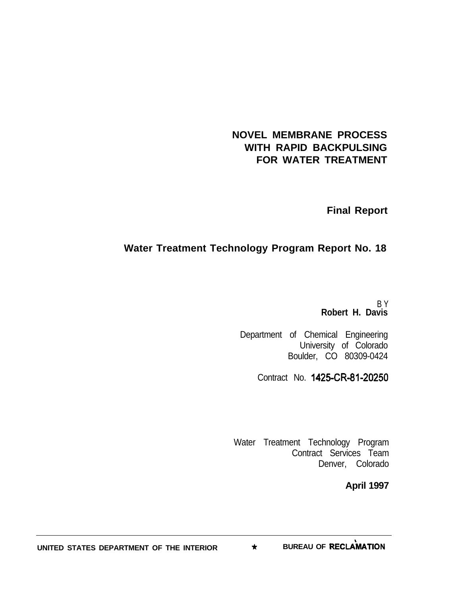# **NOVEL MEMBRANE PROCESS WITH RAPID BACKPULSING FOR WATER TREATMENT**

**Final Report**

# **Water Treatment Technology Program Report No. 18**

B Y **Robert H. Davis**

Department of Chemical Engineering University of Colorado Boulder, CO 80309-0424

Contract No. 1425-CR-81-20250

Water Treatment Technology Program Contract Services Team Denver, Colorado

**April 1997**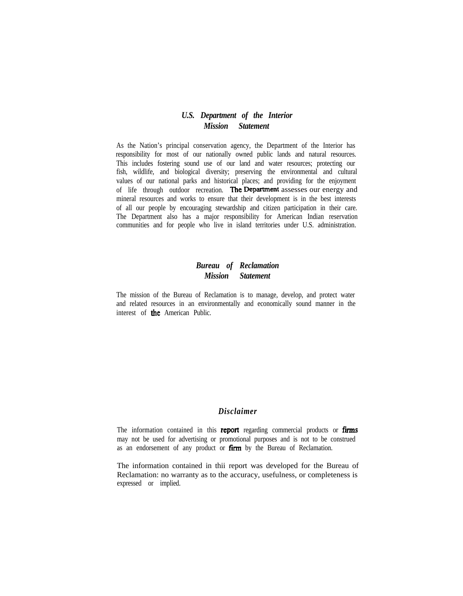#### *U.S. Department of the Interior Mission Statement*

As the Nation's principal conservation agency, the Department of the Interior has responsibility for most of our nationally owned public lands and natural resources. This includes fostering sound use of our land and water resources; protecting our fish, wildlife, and biological diversity; preserving the environmental and cultural values of our national parks and historical places; and providing for the enjoyment of life through outdoor recreation. The Department assesses our energy and mineral resources and works to ensure that their development is in the best interests of all our people by encouraging stewardship and citizen participation in their care. The Department also has a major responsibility for American Indian reservation communities and for people who live in island territories under U.S. administration.

## *Bureau of Reclamation Mission Statement*

The mission of the Bureau of Reclamation is to manage, develop, and protect water and related resources in an environmentally and economically sound manner in the interest of the American Public.

#### *Disclaimer*

The information contained in this report regarding commercial products or firms may not be used for advertising or promotional purposes and is not to be construed as an endorsement of any product or firm by the Bureau of Reclamation.

The information contained in thii report was developed for the Bureau of Reclamation: no warranty as to the accuracy, usefulness, or completeness is expressed or implied.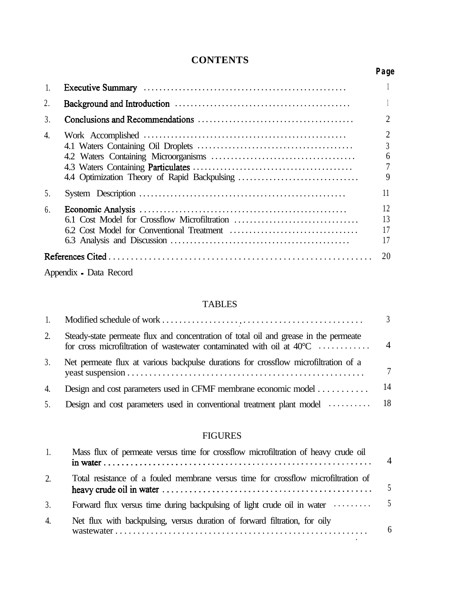# **CONTENTS**

| 1. |                        |                                                              |
|----|------------------------|--------------------------------------------------------------|
| 2. |                        |                                                              |
| 3. |                        | $\overline{2}$                                               |
| 4. |                        | $\overline{2}$<br>$\overline{3}$<br>6<br>$\overline{7}$<br>9 |
| 5. |                        | 11                                                           |
| 6. |                        | 12<br>13<br>17<br>17                                         |
|    |                        | 20                                                           |
|    | Appendix - Data Record |                                                              |

# TABLES

|    |                                                                                                                                                                         | $\mathcal{R}$  |
|----|-------------------------------------------------------------------------------------------------------------------------------------------------------------------------|----------------|
| 2. | Steady-state permeate flux and concentration of total oil and grease in the permeate<br>for cross microfiltration of wastewater contaminated with oil at $40^{\circ}$ C | $\overline{4}$ |
| 3. | Net permeate flux at various backpulse durations for crossflow microfiltration of a                                                                                     | $\tau$         |
| 4. | Design and cost parameters used in CFMF membrane economic model                                                                                                         | 14             |
| 5. | Design and cost parameters used in conventional treatment plant model  18                                                                                               |                |
|    |                                                                                                                                                                         |                |

# FIGURES

| 1. | Mass flux of permeate versus time for crossflow microfiltration of heavy crude oil                       | $\overline{4}$ |
|----|----------------------------------------------------------------------------------------------------------|----------------|
| 2. | Total resistance of a fouled membrane versus time for crossflow microfiltration of                       |                |
| 3. | Forward flux versus time during backpulsing of light crude oil in water $\dots \dots \dots$ <sup>5</sup> |                |
| 4. | Net flux with backpulsing, versus duration of forward filtration, for oily                               | 6              |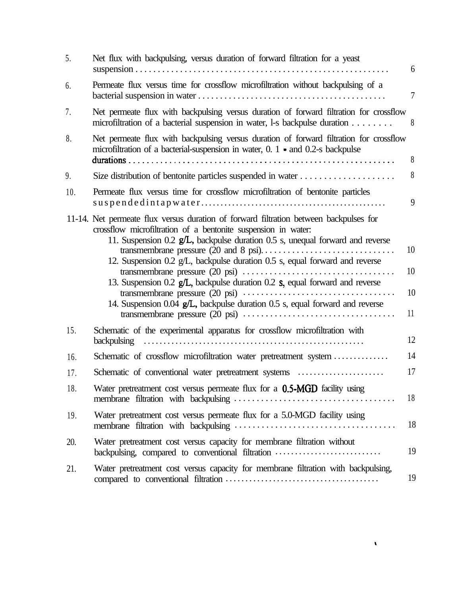| 5.  | Net flux with backpulsing, versus duration of forward filtration for a yeast                                                                                                                                                                                                                                                                                                                                                                                                                                                                                                                   | 6                    |
|-----|------------------------------------------------------------------------------------------------------------------------------------------------------------------------------------------------------------------------------------------------------------------------------------------------------------------------------------------------------------------------------------------------------------------------------------------------------------------------------------------------------------------------------------------------------------------------------------------------|----------------------|
| 6.  | Permeate flux versus time for crossflow microfiltration without backpulsing of a                                                                                                                                                                                                                                                                                                                                                                                                                                                                                                               | $\overline{7}$       |
| 7.  | Net permeate flux with backpulsing versus duration of forward filtration for crossflow<br>microfiltration of a bacterial suspension in water, l-s backpulse duration                                                                                                                                                                                                                                                                                                                                                                                                                           | 8                    |
| 8.  | Net permeate flux with backpulsing versus duration of forward filtration for crossflow<br>microfiltration of a bacterial-suspension in water, $0.1$ and $0.2$ -s backpulse                                                                                                                                                                                                                                                                                                                                                                                                                     | 8                    |
| 9.  |                                                                                                                                                                                                                                                                                                                                                                                                                                                                                                                                                                                                | 8                    |
| 10. | Permeate flux versus time for crossflow microfiltration of bentonite particles                                                                                                                                                                                                                                                                                                                                                                                                                                                                                                                 | 9                    |
|     | 11-14. Net permeate flux versus duration of forward filtration between backpulses for<br>crossflow microfiltration of a bentonite suspension in water:<br>11. Suspension 0.2 g/L, backpulse duration 0.5 s, unequal forward and reverse<br>12. Suspension 0.2 g/L, backpulse duration 0.5 s, equal forward and reverse<br>13. Suspension 0.2 g/L, backpulse duration 0.2 s, equal forward and reverse<br>transmembrane pressure $(20 \text{ psi}) \dots \dots \dots \dots \dots \dots \dots \dots \dots \dots$<br>14. Suspension 0.04 g/L, backpulse duration 0.5 s, equal forward and reverse | 10<br>10<br>10<br>11 |
| 15. | Schematic of the experimental apparatus for crossflow microfiltration with<br><b>backpulsing</b>                                                                                                                                                                                                                                                                                                                                                                                                                                                                                               | 12                   |
| 16. | Schematic of crossflow microfiltration water pretreatment system                                                                                                                                                                                                                                                                                                                                                                                                                                                                                                                               | 14                   |
| 17. | Schematic of conventional water pretreatment systems                                                                                                                                                                                                                                                                                                                                                                                                                                                                                                                                           | 17                   |
| 18. | Water pretreatment cost versus permeate flux for a 0.5-MGD facility using                                                                                                                                                                                                                                                                                                                                                                                                                                                                                                                      | 18                   |
| 19. | Water pretreatment cost versus permeate flux for a 5.0-MGD facility using                                                                                                                                                                                                                                                                                                                                                                                                                                                                                                                      | 18                   |
| 20. | Water pretreatment cost versus capacity for membrane filtration without<br>backpulsing, compared to conventional filtration                                                                                                                                                                                                                                                                                                                                                                                                                                                                    | 19                   |
| 21. | Water pretreatment cost versus capacity for membrane filtration with backpulsing,                                                                                                                                                                                                                                                                                                                                                                                                                                                                                                              | 19                   |

 $\pmb{\chi}$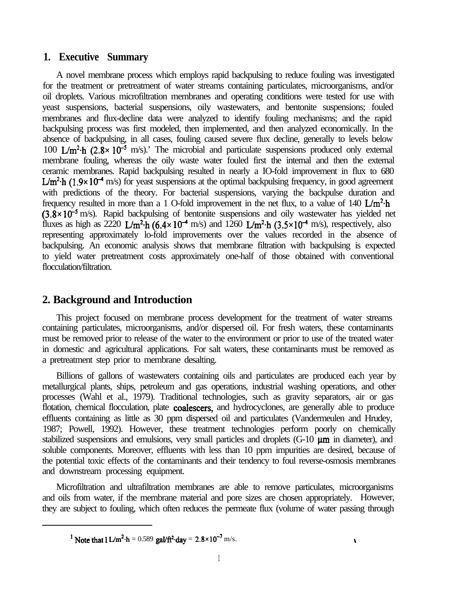# **1. Executive Summary**

A novel membrane process which employs rapid backpulsing to reduce fouling was investigated for the treatment or pretreatment of water streams containing particulates, microorganisms, and/or oil droplets. Various microfiltration membranes and operating conditions were tested for use with yeast suspensions, bacterial suspensions, oily wastewaters, and bentonite suspensions; fouled membranes and flux-decline data were analyzed to identify fouling mechanisms; and the rapid backpulsing process was first modeled, then implemented, and then analyzed economically. In the absence of backpulsing, in all cases, fouling caused severe flux decline, generally to levels below 100 L/m<sup>2</sup> $\cdot$ h (2.8× 10<sup>-5</sup> m/s).' The microbial and particulate suspensions produced only external membrane fouling, whereas the oily waste water fouled first the internal and then the external ceramic membranes. Rapid backpulsing resulted in nearly a IO-fold improvement in flux to 680  $L/m^2$ h (1.9×10<sup>-4</sup> m/s) for yeast suspensions at the optimal backpulsing frequency, in good agreement with predictions of the theory. For bacterial suspensions, varying the backpulse duration and frequency resulted in more than a 1 O-fold improvement in the net flux, to a value of 140  $\text{L/m}^2$ -h  $(3.8 \times 10^{-5} \text{ m/s})$ . Rapid backpulsing of bentonite suspensions and oily wastewater has yielded net fluxes as high as 2220 L/m<sup>2</sup> $\cdot$ h (6.4 $\times$  10<sup>-4</sup> m/s) and 1260 L/m<sup>2</sup> $\cdot$ h (3.5 $\times$ 10<sup>-4</sup> m/s), respectively, also representing approximately lo-fold improvements over the values recorded in the absence of backpulsing. An economic analysis shows that membrane filtration with backpulsing is expected to yield water pretreatment costs approximately one-half of those obtained with conventional flocculation/filtration.

# **2. Background and Introduction**

This project focused on membrane process development for the treatment of water streams containing particulates, microorganisms, and/or dispersed oil. For fresh waters, these contaminants must be removed prior to release of the water to the environment or prior to use of the treated water in domestic and agricultural applications. For salt waters, these contaminants must be removed as a pretreatment step prior to membrane desalting.

Billions of gallons of wastewaters containing oils and particulates are produced each year by metallurgical plants, ships, petroleum and gas operations, industrial washing operations, and other processes (Wahl et al., 1979). Traditional technologies, such as gravity separators, air or gas flotation, chemical flocculation, plate coalescers, and hydrocyclones, are generally able to produce effluents containing as little as 30 ppm dispersed oil and particulates (Vandermeulen and Hrudey, 1987; Powell, 1992). However, these treatment technologies perform poorly on chemically stabilized suspensions and emulsions, very small particles and droplets  $(G-10 \mu m)$  in diameter), and soluble components. Moreover, effluents with less than 10 ppm impurities are desired, because of the potential toxic effects of the contaminants and their tendency to foul reverse-osmosis membranes and downstream processing equipment.

Microfiltration and ultrafiltration membranes are able to remove particulates, microorganisms and oils from water, if the membrane material and pore sizes are chosen appropriately. However, they are subject to fouling, which often reduces the permeate flux (volume of water passing through

<sup>&</sup>lt;sup>1</sup> Note that 1 L/m<sup>2</sup>·h = 0.589 gal/ft<sup>2</sup>·day =  $2.8 \times 10^{-7}$  m/s.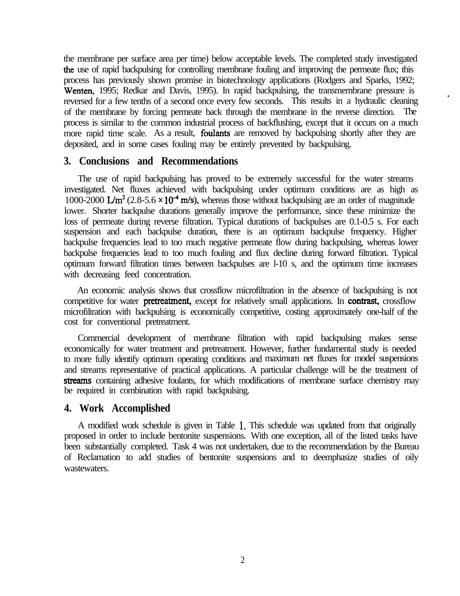the membrane per surface area per time) below acceptable levels. The completed study investigated the use of rapid backpulsing for controlling membrane fouling and improving the permeate flux; this process has previously shown promise in biotechnology applications (Rodgers and Sparks, 1992; Wenten, 1995; Redkar and Davis, 1995). In rapid backpulsing, the transmembrane pressure is reversed for a few tenths of a second once every few seconds. This results in a hydraulic cleaning of the membrane by forcing permeate back through the membrane in the reverse direction. The process is similar to the common industrial process of backflushing, except that it occurs on a much more rapid time scale. As a result, **foulants** are removed by backpulsing shortly after they are deposited, and in some cases fouling may be entirely prevented by backpulsing.

## **3. Conclusions and Recommendations**

The use of rapid backpulsing has proved to be extremely successful for the water streams investigated. Net fluxes achieved with backpulsing under optimum conditions are as high as 1000-2000 L/m<sup>2</sup> (2.8-5.6  $\times$  10<sup>-4</sup> m/s), whereas those without backpulsing are an order of magnitude lower. Shorter backpulse durations generally improve the performance, since these minimize the loss of permeate during reverse filtration. Typical durations of backpulses are 0.1-0.5 s. For each suspension and each backpulse duration, there is an optimum backpulse frequency. Higher backpulse frequencies lead to too much negative permeate flow during backpulsing, whereas lower backpulse frequencies lead to too much fouling and flux decline during forward filtration. Typical optimum forward filtration times between backpulses are l-10 s, and the optimum time increases with decreasing feed concentration.

An economic analysis shows that crossflow microfiltration in the absence of backpulsing is not competitive for water **pretreatment**, except for relatively small applications. In **contrast**, crossflow microfiltration with backpulsing is economically competitive, costing approximately one-half of the cost for conventional pretreatment.

Commercial development of membrane filtration with rapid backpulsing makes sense economically for water treatment and pretreatment. However, further fundamental study is needed to more fully identify optimum operating conditions and maximum net fluxes for model suspensions and streams representative of practical applications. A particular challenge will be the treatment of streams containing adhesive foulants, for which modifications of membrane surface chemistry may be required in combination with rapid backpulsing.

## **4. Work Accomplished**

A modified work schedule is given in Table 1. This schedule was updated from that originally proposed in order to include bentonite suspensions. With one exception, all of the listed tasks have been substantially completed. Task 4 was not undertaken, due to the recommendation by the Bureau of Reclamation to add studies of bentonite suspensions and to deemphasize studies of oily wastewaters.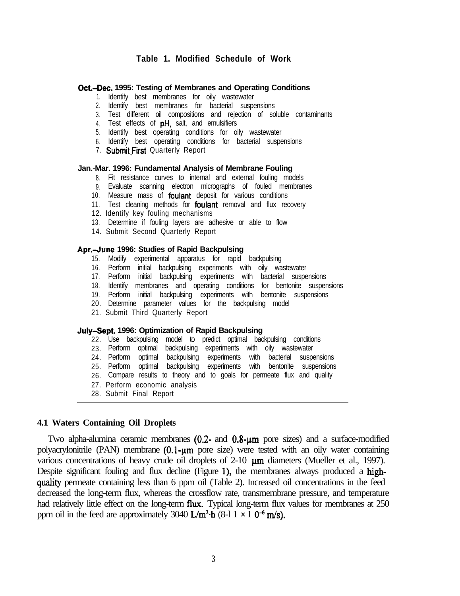#### **Oct.-Dec. 1995: Testing of Membranes and Operating Conditions**

- 1. Identify best membranes for oily wastewater
- 2. Identify best membranes for bacterial suspensions
- 3. Test different oil compositions and rejection of soluble contaminants
- 4. Test effects of **pH**, salt, and emulsifiers
- 5. Identify best operating conditions for oily wastewater
- 6. Identify best operating conditions for bacterial suspensions
- 7. Submit First Quarterly Report

#### **Jan.-Mar. 1996: Fundamental Analysis of Membrane Fouling**

- 8. Fit resistance curves to internal and external fouling models
- 9. Evaluate scanning electron micrographs of fouled membranes
- 10. Measure mass of **foulant** deposit for various conditions
- 11. Test cleaning methods for **foulant** removal and flux recovery
- 12. Identify key fouling mechanisms
- 13. Determine if fouling layers are adhesive or able to flow
- 14. Submit Second Quarterly Report

#### **Apr.4une 1996: Studies of Rapid Backpulsing**

- 15. Modify experimental apparatus for rapid backpulsing
- 16. Perform initial backpulsing experiments with oily wastewater
- 17. Perform initial backpulsing experiments with bacterial suspensions
- 18. Identify membranes and operating conditions for bentonite suspensions
- 19. Perform initial backpulsing experiments with bentonite suspensions
- 20. Determine parameter values for the backpulsing model
- 21. Submit Third Quarterly Report

#### **July-Sept. 1996: Optimization of Rapid Backpulsing**

- 22. Use backpulsing model to predict optimal backpulsing conditions
- 23. Perform optimal backpulsing experiments with oily wastewater
- 24. Perform optimal backpulsing experiments with bacterial suspensions
- 25. Perform optimal backpulsing experiments with bentonite suspensions
- 26. Compare results to theory and to goals for permeate flux and quality
- 27. Perform economic analysis
- 28. Submit Final Report

#### **4.1 Waters Containing Oil Droplets**

Two alpha-alumina ceramic membranes  $(0.2-$  and  $0.8- \mu m$  pore sizes) and a surface-modified polyacrylonitrile (PAN) membrane (0.1-um pore size) were tested with an oily water containing various concentrations of heavy crude oil droplets of  $2-10$   $\mu$ m diameters (Mueller et al., 1997). Despite significant fouling and flux decline (Figure 1), the membranes always produced a highquality permeate containing less than 6 ppm oil (Table 2). Increased oil concentrations in the feed decreased the long-term flux, whereas the crossflow rate, transmembrane pressure, and temperature had relatively little effect on the long-term flux. Typical long-term flux values for membranes at 250 ppm oil in the feed are approximately 3040 L/m<sup>2</sup> $\cdot$ h (8-l 1 x 1 0<sup>-6</sup> m/s).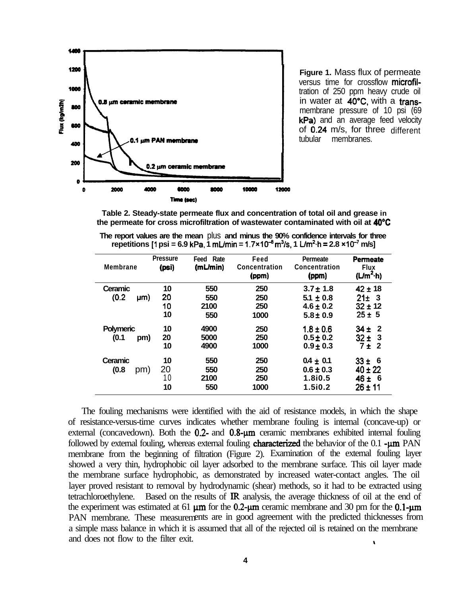

**Figure 1.** Mass flux of permeate versus time for crossflow microfiltration of 250 ppm heavy crude oil in water at 40°C, with a transmembrane pressure of 10 psi (69 kPa) and an average feed velocity of 0.24 m/s, for three different tubular membranes.

**Table 2. Steady-state permeate flux and concentration of total oil and grease in the permeate for cross microfiltration of wastewater contaminated with oil at 40°C**

| The report values are the mean plus and minus the 90% confidence intervals for three                                               |  |  |  |  |
|------------------------------------------------------------------------------------------------------------------------------------|--|--|--|--|
| repetitions [1 psi = 6.9 kPa, 1 mL/min = $1.7 \times 10^{-8}$ m <sup>3</sup> /s, 1 L/m <sup>2</sup> ·h = 2.8 $\times 10^{-7}$ m/s] |  |  |  |  |

| <b>Membrane</b>  | <b>Pressure</b><br>(psi) | Feed Rate<br>(mL/min) | Feed<br><b>Concentration</b><br>(ppm) | <b>Permeate</b><br>Concentration<br>(ppm) | Permeate<br><b>Flux</b><br>(L/m <sup>2</sup> ·h) |
|------------------|--------------------------|-----------------------|---------------------------------------|-------------------------------------------|--------------------------------------------------|
| Ceramic          | 10                       | 550                   | 250                                   | $3.7 \pm 1.8$                             | $42 \pm 18$                                      |
| (0.2)<br>µm)     | 20                       | 550                   | 250                                   | $5.1 \pm 0.8$                             | $21 \pm 3$                                       |
|                  | 10                       | 2100                  | 250                                   | $4.6 \pm 0.2$                             | $32 \pm 12$                                      |
|                  | 10                       | 550                   | 1000                                  | $5.8 \pm 0.9$                             | $25 \pm 5$                                       |
| <b>Polymeric</b> | 10                       | 4900                  | 250                                   | $1.8 \pm 0.6$                             | -2<br>$34 +$                                     |
| (0.1)<br>pm)     | 20                       | 5000                  | 250                                   | $0.5 \pm 0.2$                             | $32 \pm 3$                                       |
|                  | 10                       | 4900                  | 1000                                  | $0.9 \pm 0.3$                             | 7±2                                              |
| Ceramic          | 10                       | 550                   | 250                                   | $0.4 \pm 0.1$                             | $33 + 6$                                         |
| (0.8)<br>pm)     | 20                       | 550                   | 250                                   | $0.6 \pm 0.3$                             | $40 \pm 22$                                      |
|                  | 10                       | 2100                  | 250                                   | 1.8i0.5                                   | $46 \pm 6$                                       |
|                  | 10                       | 550                   | 1000                                  | 1.5i0.2                                   | 26 ± 11                                          |

The fouling mechanisms were identified with the aid of resistance models, in which the shape of resistance-versus-time curves indicates whether membrane fouling is internal (concave-up) or external (concavedown). Both the  $0.2$ - and  $0.8$ - $\mu$ m ceramic membranes exhibited internal fouling followed by external fouling, whereas external fouling **characterized** the behavior of the 0.1 -um PAN membrane from the beginning of filtration (Figure 2). Examination of the external fouling layer showed a very thin, hydrophobic oil layer adsorbed to the membrane surface. This oil layer made the membrane surface hydrophobic, as demonstrated by increased water-contact angles. The oil layer proved resistant to removal by hydrodynamic (shear) methods, so it had to be extracted using tetrachloroethylene. Based on the results of IR analysis, the average thickness of oil at the end of the experiment was estimated at 61  $\mu$ m for the 0.2- $\mu$ m ceramic membrane and 30 pm for the 0.1- $\mu$ m PAN membrane. These measurements are in good agreement with the predicted thicknesses from a simple mass balance in which it is assumed that all of the rejected oil is retained on the membrane and does not flow to the filter exit.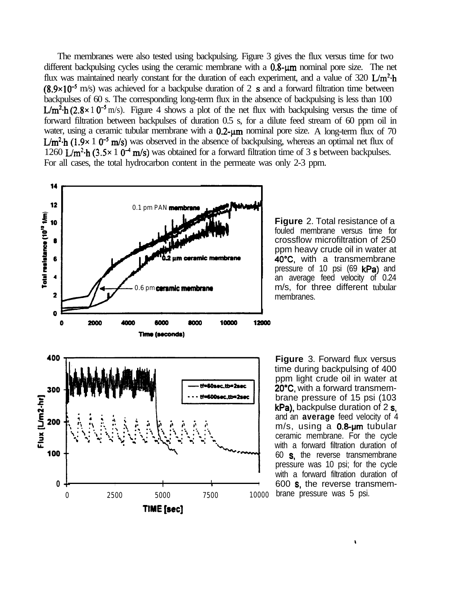The membranes were also tested using backpulsing. Figure 3 gives the flux versus time for two different backpulsing cycles using the ceramic membrane with a  $0.8 \cdot \mu m$  nominal pore size. The net flux was maintained nearly constant for the duration of each experiment, and a value of 320  $L/m^2$ -h  $(8.9\times10^{-5}$  m/s) was achieved for a backpulse duration of 2 s and a forward filtration time between backpulses of 60 s. The corresponding long-term flux in the absence of backpulsing is less than 100 L/m<sup>2</sup>.h (2.8 × 1 0<sup>-5</sup> m/s). Figure 4 shows a plot of the net flux with backpulsing versus the time of forward filtration between backpulses of duration 0.5 s, for a dilute feed stream of 60 ppm oil in water, using a ceramic tubular membrane with a  $0.2$ -um nominal pore size. A long-term flux of 70  $L/m^2$ -h (1.9x 1 0<sup>-5</sup> m/s) was observed in the absence of backpulsing, whereas an optimal net flux of 1260 L/m<sup>2</sup>·h (3.5× 1 0<sup>-4</sup> m/s) was obtained for a forward filtration time of 3 s between backpulses. For all cases, the total hydrocarbon content in the permeate was only 2-3 ppm.



**Figure** 2. Total resistance of a fouled membrane versus time for crossflow microfiltration of 250 ppm heavy crude oil in water at 4O"C, with a transmembrane pressure of 10 psi (69 kPa) and an average feed velocity of 0.24 m/s, for three different tubular membranes.

**Figure** 3. Forward flux versus time during backpulsing of 400 ppm light crude oil in water at 20°C, with a forward transmembrane pressure of 15 psi (103 kPa), backpulse duration of 2 s. and an **average** feed velocity of 4  $m/s$ , using a  $0.8$ -um tubular ceramic membrane. For the cycle with a forward filtration duration of 60 s, the reverse transmembrane pressure was 10 psi; for the cycle with a forward filtration duration of 600 s, the reverse transmembrane pressure was 5 psi.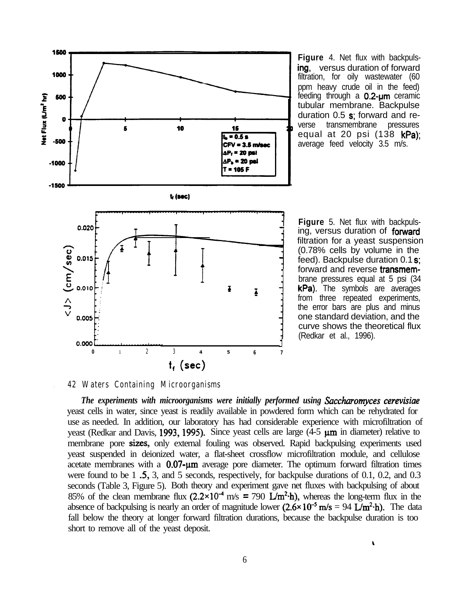

**Figure** 4. Net flux with backpulsing, versus duration of forward filtration, for oily wastewater (60 ppm heavy crude oil in the feed) feeding through a  $0.2$ -um ceramic tubular membrane. Backpulse duration  $0.5$  s; forward and reverse transmembrane pressures equal at 20 psi  $(138 \text{ kPa})$ : average feed velocity 3.5 m/s.

**Figure** 5. Net flux with backpulsing, versus duration of **forward** filtration for a yeast suspension (0.78% cells by volume in the feed). Backpulse duration 0.1 s; forward and reverse transmembrane pressures equal at 5 psi (34 kPa). The symbols are averages from three repeated experiments, the error bars are plus and minus one standard deviation, and the curve shows the theoretical flux (Redkar et al., 1996).

 $\mathbf{r}$ 

### **. 42 Waters Containing Microorganisms**

*The experiments with microorganisms were initially performed using Saccharorryces cerevisiae* yeast cells in water, since yeast is readily available in powdered form which can be rehydrated for use as needed. In addition, our laboratory has had considerable experience with microfiltration of yeast (Redkar and Davis, 1993, 1995). Since yeast cells are large  $(4-5 \mu m)$  in diameter) relative to membrane pore sizes, only external fouling was observed. Rapid backpulsing experiments used yeast suspended in deionized water, a flat-sheet crossflow microfiltration module, and cellulose acetate membranes with a  $0.07$ - $\mu$ m average pore diameter. The optimum forward filtration times were found to be 1  $.5$ , 3, and 5 seconds, respectively, for backpulse durations of 0.1, 0.2, and 0.3 seconds (Table 3, Figure 5). Both theory and experiment gave net fluxes with backpulsing of about 85% of the clean membrane flux  $(2.2 \times 10^{-4} \text{ m/s} = 790 \text{ L/m}^2 \cdot \text{h})$ , whereas the long-term flux in the absence of backpulsing is nearly an order of magnitude lower  $(2.6 \times 10^{-5} \text{ m/s} = 94 \text{ L/m}^2 \cdot \text{h})$ . The data fall below the theory at longer forward filtration durations, because the backpulse duration is too short to remove all of the yeast deposit.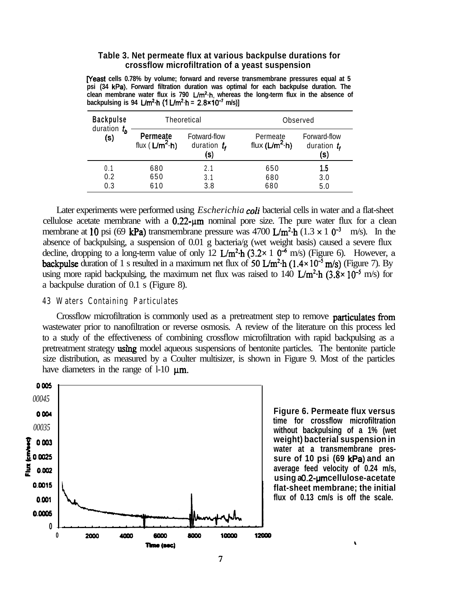#### **Table 3. Net permeate flux at various backpulse durations for crossflow microfiltration of a yeast suspension**

**veast cells 0.78% by volume; forward and reverse transmembrane pressures equal at 5 psi (34 kPa). Forward filtration duration was optimal for each backpulse duration. The** clean membrane water flux is 790 L/m<sup>2</sup>·h, whereas the long-term flux in the absence of **backpulsing is 94 L/m<sup>2</sup>** $\cdot$ **h (1 L/m<sup>2</sup>** $\cdot$ **h = 2.8×10<sup>-7</sup> m/s)]** 

| <b>Backpulse</b>      |                                       | Theoretical                             | Observed                           |                                       |  |  |
|-----------------------|---------------------------------------|-----------------------------------------|------------------------------------|---------------------------------------|--|--|
| duration $t_h$<br>(s) | <b>Permeate</b><br>flux ( $L/m^2$ -h) | Fotward-flow<br>duration $t_{f}$<br>(s) | Permeate<br>flux $(L/m^2 \cdot h)$ | Forward-flow<br>duration $t_f$<br>(s) |  |  |
| 0.1                   | 680                                   | 2.1                                     | 650                                | 1.5                                   |  |  |
| 0.2                   | 650                                   | 3.1                                     | 680                                | 3.0                                   |  |  |
| 0.3                   | 610                                   | 3.8                                     | 680                                | 5.0                                   |  |  |

Later experiments were performed using *Escherichia coli* bacterial cells in water and a flat-sheet cellulose acetate membrane with a  $0.22$ - $\mu$ m nominal pore size. The pure water flux for a clean membrane at 10 psi (69 kPa) transmembrane pressure was 4700 L/m<sup>2</sup> $\cdot$ h (1.3 × 10<sup>-3</sup> m/s). In the absence of backpulsing, a suspension of 0.01 g bacteria/g (wet weight basis) caused a severe flux decline, dropping to a long-term value of only 12  $\text{L/m}^2$  h (3.2× 1 0<sup>-6</sup> m/s) (Figure 6). However, a backpulse duration of 1 s resulted in a maximum net flux of 50  $L/m^2$ -h (1.4×10<sup>-5</sup> m/s) (Figure 7). By using more rapid backpulsing, the maximum net flux was raised to 140  $L/m^2$ -h  $(3.8 \times 10^{-5}$  m/s) for a backpulse duration of 0.1 s (Figure 8).

#### **43 Waters Containing Particulates**

Crossflow microfiltration is commonly used as a pretreatment step to remove **particulates from** wastewater prior to nanofiltration or reverse osmosis. A review of the literature on this process led to a study of the effectiveness of combining crossflow microfiltration with rapid backpulsing as a pretreatment strategy using model aqueous suspensions of bentonite particles. The bentonite particle size distribution, as measured by a Coulter multisizer, is shown in Figure 9. Most of the particles have diameters in the range of  $1-10 \mu m$ .



**Figure 6. Permeate flux versus time for crossflow microfiltration without backpulsing of a 1% (wet weight) bacterial suspension in water at a transmembrane pressure of 10 psi (69 kPa) and an average feed velocity of 0.24 m/s, using a 0.2-um cellulose-acetate flat-sheet membrane; the initial flux of 0.13 cm/s is off the scale.**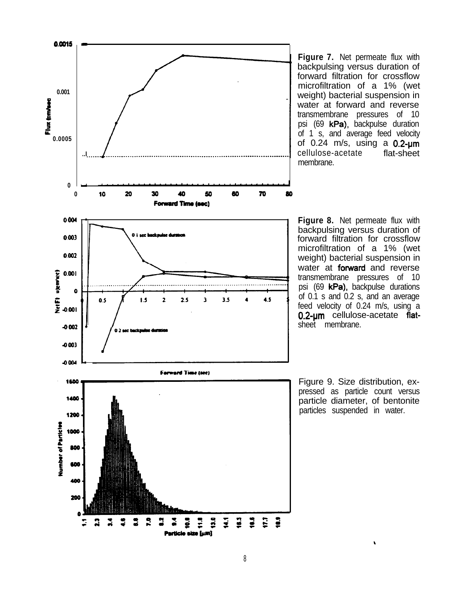

**Figure 7.** Net permeate flux with backpulsing versus duration of forward filtration for crossflow microfiltration of a 1% (wet weight) bacterial suspension in water at forward and reverse transmembrane pressures of 10 psi (69 kPa), backpulse duration of 1 s, and average feed velocity of  $0.24$  m/s, using a  $0.2$ -um cellulose-acetate flat-sheet membrane.

**Figure 8.** Net permeate flux with backpulsing versus duration of forward filtration for crossflow microfiltration of a 1% (wet weight) bacterial suspension in water at forward and reverse transmembrane pressures of 10 psi (69 kPa), backpulse durations of 0.1 s and 0.2 s, and an average feed velocity of 0.24 m/s, using a 0.2-um cellulose-acetate flatsheet membrane.

Figure 9. Size distribution, expressed as particle count versus particle diameter, of bentonite particles suspended in water.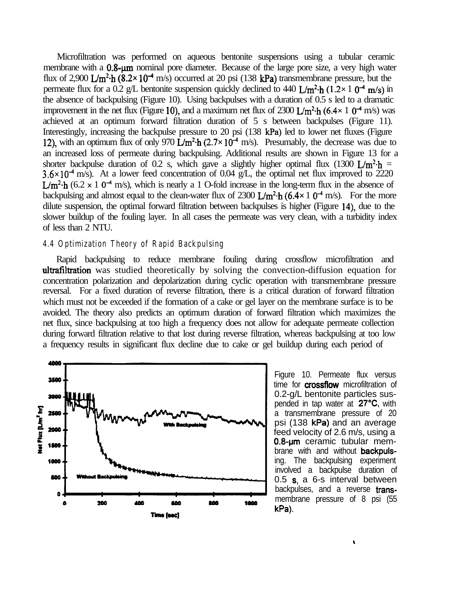Microfiltration was performed on aqueous bentonite suspensions using a tubular ceramic membrane with a 0.8-um nominal pore diameter. Because of the large pore size, a very high water flux of 2,900  $\text{L/m}^2$  h (8.2× 10<sup>-4</sup> m/s) occurred at 20 psi (138 kPa) transmembrane pressure, but the permeate flux for a 0.2 g/L bentonite suspension quickly declined to 440 L/m<sup>2</sup>·h (1.2× 1 0<sup>-4</sup> m/s) in the absence of backpulsing (Figure 10). Using backpulses with a duration of 0.5 s led to a dramatic improvement in the net flux (Figure 10), and a maximum net flux of 2300 L/m<sup>2</sup> $\cdot$ h (6.4 $\times$  1 0<sup>-4</sup> m/s) was achieved at an optimum forward filtration duration of 5 s between backpulses (Figure 11). Interestingly, increasing the backpulse pressure to 20 psi (138 kPa) led to lower net fluxes (Figure 12), with an optimum flux of only 970  $\dot{\rm L/m^2}$  h (2.7×10<sup>-4</sup> m/s). Presumably, the decrease was due to an increased loss of permeate during backpulsing. Additional results are shown in Figure 13 for a shorter backpulse duration of 0.2 s, which gave a slightly higher optimal flux (1300 L/m<sup>2</sup>·h =  $3.6 \times 10^{-4}$  m/s). At a lower feed concentration of 0.04 g/L, the optimal net flux improved to 2220  $L/m^2$ -h (6.2 x 1 0<sup>-4</sup> m/s), which is nearly a 1 O-fold increase in the long-term flux in the absence of backpulsing and almost equal to the clean-water flux of 2300  $L/m^2$  h (6.4 $\times$  1 0<sup>-4</sup> m/s). For the more dilute suspension, the optimal forward filtration between backpulses is higher (Figure 14), due to the slower buildup of the fouling layer. In all cases the permeate was very clean, with a turbidity index of less than 2 NTU.

#### **4.4 Optimization Theory of Rapid Backpulsing**

Rapid backpulsing to reduce membrane fouling during crossflow microfiltration and ultrafiltration was studied theoretically by solving the convection-diffusion equation for concentration polarization and depolarization during cyclic operation with transmembrane pressure reversal. For a fixed duration of reverse filtration, there is a critical duration of forward filtration which must not be exceeded if the formation of a cake or gel layer on the membrane surface is to be avoided. The theory also predicts an optimum duration of forward filtration which maximizes the net flux, since backpulsing at too high a frequency does not allow for adequate permeate collection during forward filtration relative to that lost during reverse filtration, whereas backpulsing at too low a frequency results in significant flux decline due to cake or gel buildup during each period of



Figure 10. Permeate flux versus time for **crossflow** microfiltration of 0.2-g/L bentonite particles suspended in tap water at  $27^{\circ}C$ , with a transmembrane pressure of 20 psi (138 kPa) and an average feed velocity of 2.6 m/s, using a 0.8-um ceramic tubular membrane with and without **backpuls**ing. The backpulsing experiment involved a backpulse duration of 0.5 s, a 6-s interval between backpulses, and a reverse **trans**membrane pressure of 8 psi (55 kPa).

,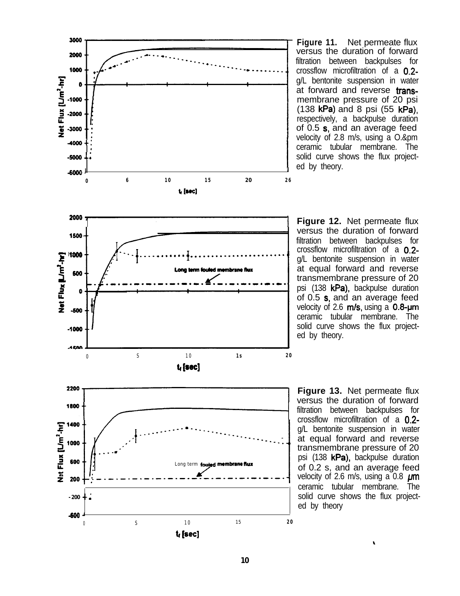

**Figure 11.** Net permeate flux versus the duration of forward filtration between backpulses for crossflow microfiltration of a 0.2 g/L bentonite suspension in water at forward and reverse transmembrane pressure of 20 psi (138 kPa) and 8 psi (55 kPa), respectively, a backpulse duration of 0.5 s, and an average feed velocity of 2.8 m/s, using a O.&pm ceramic tubular membrane. The solid curve shows the flux projected by theory.

**Figure 12.** Net permeate flux versus the duration of forward filtration between backpulses for crossflow microfiltration of a 0.2g/L bentonite suspension in water at equal forward and reverse transmembrane pressure of 20 psi (138 kPa), backpulse duration of 0.5 s, and an average feed velocity of 2.6  $m/s$ , using a 0.8- $\mu$ m ceramic tubular membrane. The solid curve shows the flux projected by theory.

**Figure 13.** Net permeate flux versus the duration of forward filtration between backpulses for crossflow microfiltration of a 0.2 g/L bentonite suspension in water at equal forward and reverse transmembrane pressure of 20 psi (138 kPa), backpulse duration of 0.2 s, and an average feed velocity of 2.6 m/s, using a 0.8  $\mu$ m ceramic tubular membrane. The solid curve shows the flux projected by theory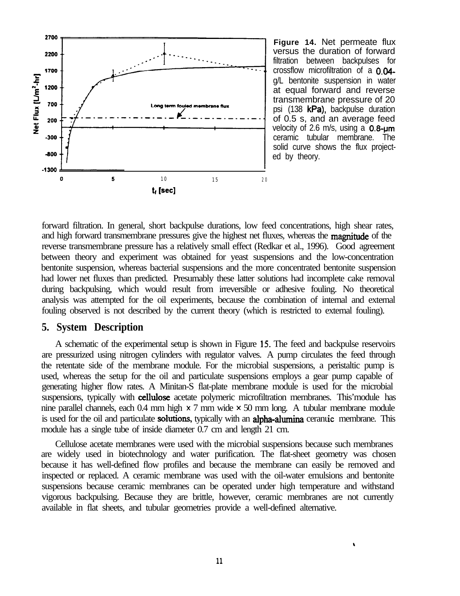

**Figure 14.** Net permeate flux versus the duration of forward filtration between backpulses for crossflow microfiltration of a 0.04 g/L bentonite suspension in water at equal forward and reverse transmembrane pressure of 20 psi (138 kPa), backpulse duration of 0.5 s, and an average feed velocity of 2.6 m/s, using a  $0.8 - \mu m$ ceramic tubular membrane. The solid curve shows the flux projected by theory.

forward filtration. In general, short backpulse durations, low feed concentrations, high shear rates, and high forward transmembrane pressures give the highest net fluxes, whereas the **magnitude** of the reverse transmembrane pressure has a relatively small effect (Redkar et al., 1996). Good agreement between theory and experiment was obtained for yeast suspensions and the low-concentration bentonite suspension, whereas bacterial suspensions and the more concentrated bentonite suspension had lower net fluxes than predicted. Presumably these latter solutions had incomplete cake removal during backpulsing, which would result from irreversible or adhesive fouling. No theoretical analysis was attempted for the oil experiments, because the combination of internal and external fouling observed is not described by the current theory (which is restricted to external fouling).

## **5. System Description**

A schematic of the experimental setup is shown in Figure 15. The feed and backpulse reservoirs are pressurized using nitrogen cylinders with regulator valves. A pump circulates the feed through the retentate side of the membrane module. For the microbial suspensions, a peristaltic pump is used, whereas the setup for the oil and particulate suspensions employs a gear pump capable of generating higher flow rates. A Minitan-S flat-plate membrane module is used for the microbial suspensions, typically with cellulose acetate polymeric microfiltration membranes. This'module has nine parallel channels, each 0.4 mm high  $\times$  7 mm wide  $\times$  50 mm long. A tubular membrane module is used for the oil and particulate **solutions**, typically with an **alpha-alumina** ceranuic membrane. This module has a single tube of inside diameter 0.7 cm and length 21 cm.

Cellulose acetate membranes were used with the microbial suspensions because such membranes are widely used in biotechnology and water purification. The flat-sheet geometry was chosen because it has well-defined flow profiles and because the membrane can easily be removed and inspected or replaced. A ceramic membrane was used with the oil-water emulsions and bentonite suspensions because ceramic membranes can be operated under high temperature and withstand vigorous backpulsing. Because they are brittle, however, ceramic membranes are not currently available in flat sheets, and tubular geometries provide a well-defined alternative.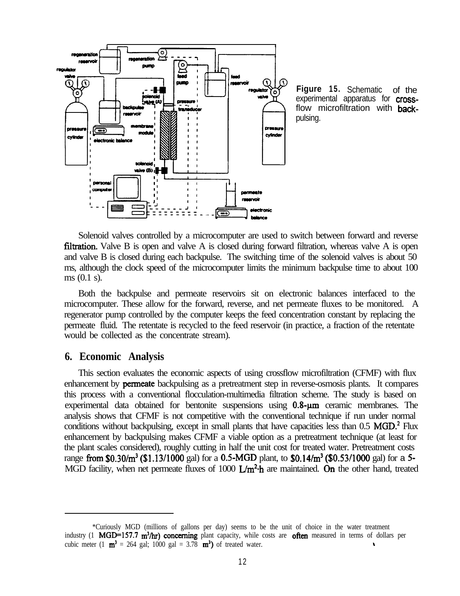

**Figure 15.** Schematic of the experimental apparatus for **cross**flow microfiltration with backpulsing.

Solenoid valves controlled by a microcomputer are used to switch between forward and reverse **filtration.** Valve  $B$  is open and valve  $A$  is closed during forward filtration, whereas valve  $A$  is open and valve B is closed during each backpulse. The switching time of the solenoid valves is about 50 ms, although the clock speed of the microcomputer limits the minimum backpulse time to about 100 ms (0.1 s).

Both the backpulse and permeate reservoirs sit on electronic balances interfaced to the microcomputer. These allow for the forward, reverse, and net permeate fluxes to be monitored. A regenerator pump controlled by the computer keeps the feed concentration constant by replacing the permeate fluid. The retentate is recycled to the feed reservoir (in practice, a fraction of the retentate would be collected as the concentrate stream).

## **6. Economic Analysis**

This section evaluates the economic aspects of using crossflow microfiltration (CFMF) with flux enhancement by permeate backpulsing as a pretreatment step in reverse-osmosis plants. It compares this process with a conventional flocculation-multimedia filtration scheme. The study is based on experimental data obtained for bentonite suspensions using  $0.8 - \mu m$  ceramic membranes. The analysis shows that CFMF is not competitive with the conventional technique if run under normal conditions without backpulsing, except in small plants that have capacities less than 0.5 MGD.<sup>2</sup> Flux enhancement by backpulsing makes CFMF a viable option as a pretreatment technique (at least for the plant scales considered), roughly cutting in half the unit cost for treated water. Pretreatment costs range from \$0.30/ $m^3$  (\$1.13/1000 gal) for a 0.5-MGD plant, to \$0.14/ $m^3$  (\$0.53/1000 gal) for a 5-MGD facility, when net permeate fluxes of 1000  $\mathbf{L}/\mathbf{m}^2 \cdot \hat{\mathbf{h}}$  are maintained. On the other hand, treated

<sup>\*</sup>Curiously MGD (millions of gallons per day) seems to be the unit of choice in the water treatment industry (1 MGD=157.7 m<sup>3</sup>/hr) concerning plant capacity, while costs are often measured in terms of dollars per cubic meter (1  $\text{m}^3$  = 264 gal; 1000 gal = 3.78  $\text{m}^3$ ) of treated water.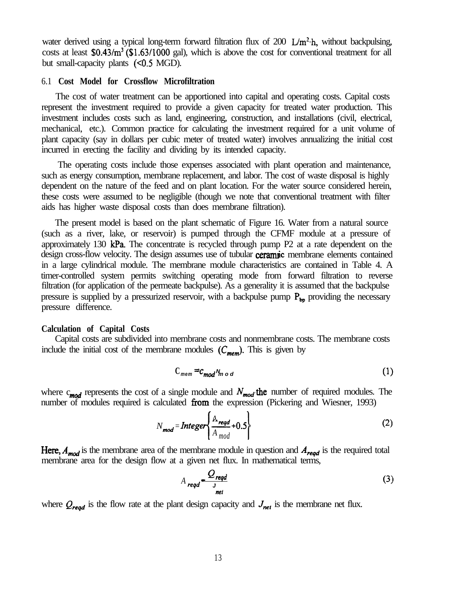water derived using a typical long-term forward filtration flux of 200 L/m<sup>2</sup>·h, without backpulsing, costs at least \$0.43/m<sup>3</sup> (\$1.63/1000 gal), which is above the cost for conventional treatment for all but small-capacity plants  $( $0.5$  MGD)$ .

#### 6.1 **Cost Model for Crossflow Microfiltration**

The cost of water treatment can be apportioned into capital and operating costs. Capital costs represent the investment required to provide a given capacity for treated water production. This investment includes costs such as land, engineering, construction, and installations (civil, electrical, mechanical, etc.). Common practice for calculating the investment required for a unit volume of plant capacity (say in dollars per cubic meter of treated water) involves annualizing the initial cost incurred in erecting the facility and dividing by its intended capacity.

The operating costs include those expenses associated with plant operation and maintenance, such as energy consumption, membrane replacement, and labor. The cost of waste disposal is highly dependent on the nature of the feed and on plant location. For the water source considered herein, these costs were assumed to be negligible (though we note that conventional treatment with filter aids has higher waste disposal costs than does membrane filtration).

The present model is based on the plant schematic of Figure 16. Water from a natural source (such as a river, lake, or reservoir) is pumped through the CFMF module at a pressure of approximately 130 kPa. The concentrate is recycled through pump  $P2$  at a rate dependent on the design cross-flow velocity. The design assumes use of tubular **ceramic** membrane elements contained in a large cylindrical module. The membrane module characteristics are contained in Table 4. A timer-controlled system permits switching operating mode from forward filtration to reverse filtration (for application of the permeate backpulse). As a generality it is assumed that the backpulse pressure is supplied by a pressurized reservoir, with a backpulse pump  $P_{\text{bo}}$  providing the necessary pressure difference.

#### **Calculation of Capital Costs**

Capital costs are subdivided into membrane costs and nonmembrane costs. The membrane costs include the initial cost of the membrane modules  $(C_{mem})$ . This is given by

$$
C_{\text{mem}} = c_{\text{mod}} N_{\text{mod}} \tag{1}
$$

where  $c_{mod}$  represents the cost of a single module and  $N_{mod}$  the number of required modules. The number of modules required is calculated from the expression (Pickering and Wiesner, 1993)

$$
N_{\text{mod}} = \text{Integer}\left\{\frac{A_{\text{regd}}}{A_{\text{mod}}} + 0.5\right\}
$$
 (2)

Here,  $A_{mod}$  is the membrane area of the membrane module in question and  $A_{read}$  is the required total membrane area for the design flow at a given net flux. In mathematical terms,

$$
A_{\text{reqd}} \frac{Q_{\text{reqd}}}{I_{\text{net}}}
$$
 (3)

where  $Q_{\text{read}}$  is the flow rate at the plant design capacity and  $J_{\text{net}}$  is the membrane net flux.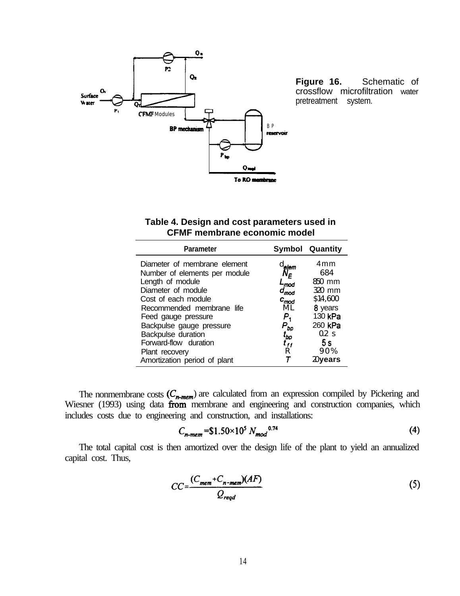

crossflow microfiltration water pretreatment system.

## **Table 4. Design and cost parameters used in CFMF membrane economic model**

| <b>Parameter</b>                                                                                                                                                                                                                                                                |                                                                                                                       | <b>Symbol Quantity</b>                                                                                 |
|---------------------------------------------------------------------------------------------------------------------------------------------------------------------------------------------------------------------------------------------------------------------------------|-----------------------------------------------------------------------------------------------------------------------|--------------------------------------------------------------------------------------------------------|
| Diameter of membrane element<br>Number of elements per module<br>Length of module<br>Diameter of module<br>Cost of each module<br>Recommended membrane life<br>Feed gauge pressure<br>Backpulse gauge pressure<br>Backpulse duration<br>Forward-flow duration<br>Plant recovery | elem<br>N <sub>F</sub><br>$L_{mod}$<br>$d_{mod}$<br>$c_{mod}$<br>M I<br>$P_{1}$<br>$P_{bp}$<br>$t_{bp}$<br>$t_H$<br>R | 4mm<br>684<br>850 mm<br>$320$ mm<br>\$14,600<br>8 years<br>130 kPa<br>260 kPa<br>$0.2$ S<br>5 s<br>90% |
| Amortization period of plant                                                                                                                                                                                                                                                    |                                                                                                                       | $20\,$ vears                                                                                           |

The nonmembrane costs  $(C_{n-mem})$  are calculated from an expression compiled by Pickering and Wiesner (1993) using data from membrane and engineering and construction companies, which includes costs due to engineering and construction, and installations:

$$
C_{n-mem} = \$1.50 \times 10^5 \ N_{mod}^{0.74} \tag{4}
$$

The total capital cost is then amortized over the design life of the plant to yield an annualized capital cost. Thus,

$$
CC = \frac{(C_{mem} + C_{n-mem})(AF)}{Q_{reqd}}
$$
 (5)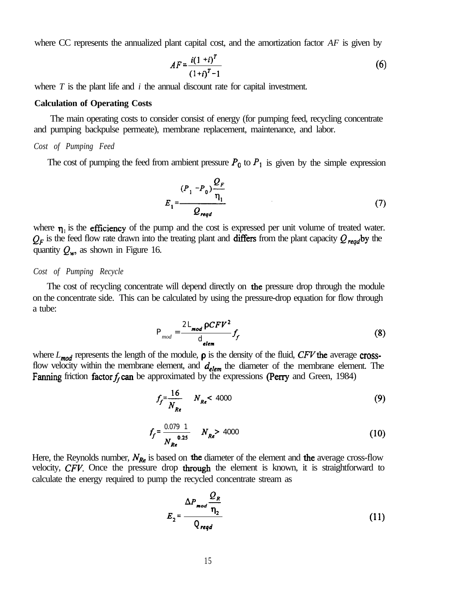where CC represents the annualized plant capital cost, and the amortization factor *AF* is given by

$$
AF = \frac{i(1+i)^T}{(1+i)^T - 1}
$$
 (6)

where *T* is the plant life and *i* the annual discount rate for capital investment.

#### **Calculation of Operating Costs**

The main operating costs to consider consist of energy (for pumping feed, recycling concentrate and pumping backpulse permeate), membrane replacement, maintenance, and labor.

#### *Cost of Pumping Feed*

The cost of pumping the feed from ambient pressure  $P_0$  to  $P_1$  is given by the simple expression

$$
E_{1} = \frac{(P_{1} - P_{0})\frac{Q_{F}}{\eta_{1}}}{Q_{reqd}}
$$
 (7)

where  $\eta_1$  is the efficiency of the pump and the cost is expressed per unit volume of treated water.  $Q_F$  is the feed flow rate drawn into the treating plant and **differs** from the plant capacity  $Q_{\text{read}}$  by the quantity  $Q_w$ , as shown in Figure 16.

#### *Cost of Pumping Recycle*

The cost of recycling concentrate will depend directly on the pressure drop through the module on the concentrate side. This can be calculated by using the pressure-drop equation for flow through a tube:

$$
P_{mod} = \frac{2L_{mod} \, \rho C F V^2}{d_{elem}} f_f \tag{8}
$$

where  $L_{mod}$  represents the length of the module,  $\rho$  is the density of the fluid, CFV the average crossflow velocity within the membrane element, and  $d_{elem}$  the diameter of the membrane element. The Fanning friction factor  $f_f$  can be approximated by the expressions (Perry and Green, 1984)

$$
f_f = \frac{16}{N_{Re}} \qquad N_{Re} < 4000
$$
 (9)

$$
f_f = \frac{0.079 \text{ } 1}{N_{Re}} \qquad N_{Re} > 4000 \tag{10}
$$

Here, the Reynolds number,  $N_{Re}$  is based on the diameter of the element and the average cross-flow velocity, *CFV.* Once the pressure drop through the element is known, it is straightforward to calculate the energy required to pump the recycled concentrate stream as

$$
E_2 = \frac{\Delta P_{mod} \frac{Q_R}{\eta_2}}{Q_{reqd}}
$$
 (11)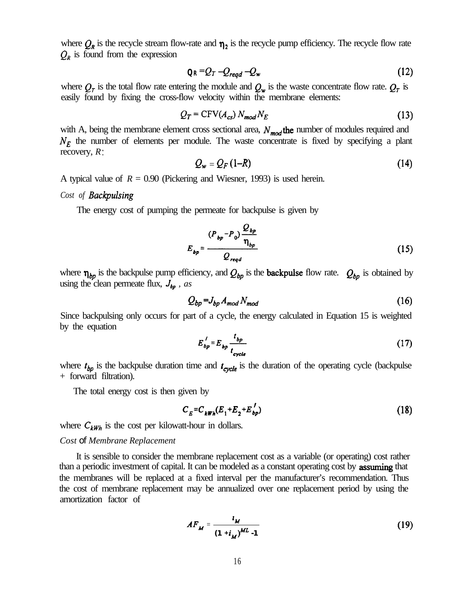where  $Q_R$  is the recycle stream flow-rate and  $\eta_2$  is the recycle pump efficiency. The recycle flow rate  $Q_R$  is found from the expression

$$
Q_R = Q_T - Q_{\text{regd}} - Q_w \tag{12}
$$

where  $Q_r$  is the total flow rate entering the module and  $Q_w$  is the waste concentrate flow rate.  $Q_r$  is easily found by fixing the cross-flow velocity within the membrane elements:

$$
Q_T = \text{CFV}(A_{cs}) N_{mod} N_E \tag{13}
$$

with A, being the membrane element cross sectional area,  $N_{mod}$  the number of modules required and  $N_F$  the number of elements per module. The waste concentrate is fixed by specifying a plant recovery, *R :*

$$
Q_w = Q_F (1 - R) \tag{14}
$$

A typical value of  $R = 0.90$  (Pickering and Wiesner, 1993) is used herein.

*Cost of Backpulsing* 

The energy cost of pumping the permeate for backpulse is given by

$$
E_{bp} = \frac{(P_{bp} - P_0) \frac{Q_{bp}}{\eta_{bp}}}{Q_{reqd}}
$$
 (15)

where  $\eta_{bb}$  is the backpulse pump efficiency, and  $Q_{bp}$  is the **backpulse** flow rate.  $Q_{bp}$  is obtained by using the clean permeate flux,  $J_{bp}$ , as

$$
Q_{bp} = J_{bp} A_{mod} N_{mod} \tag{16}
$$

Since backpulsing only occurs for part of a cycle, the energy calculated in Equation 15 is weighted by the equation

$$
E'_{bp} = E_{bp} \frac{t_{bp}}{t_{cycle}} \tag{17}
$$

where  $t_{bp}$  is the backpulse duration time and  $t_{cycle}$  is the duration of the operating cycle (backpulse + forward filtration).

The total energy cost is then given by

$$
C_E = C_{kWh}(E_1 + E_2 + E_{bp}')
$$
 (18)

where  $C_{kWh}$  is the cost per kilowatt-hour in dollars.

#### *Cost of Membrane Replacement*

It is sensible to consider the membrane replacement cost as a variable (or operating) cost rather than a periodic investment of capital. It can be modeled as a constant operating cost by assuming that the membranes will be replaced at a fixed interval per the manufacturer's recommendation. Thus the cost of membrane replacement may be annualized over one replacement period by using the amortization factor of

$$
AF_M = \frac{i_M}{(1 + i_M)^{ML} - 1}
$$
 (19)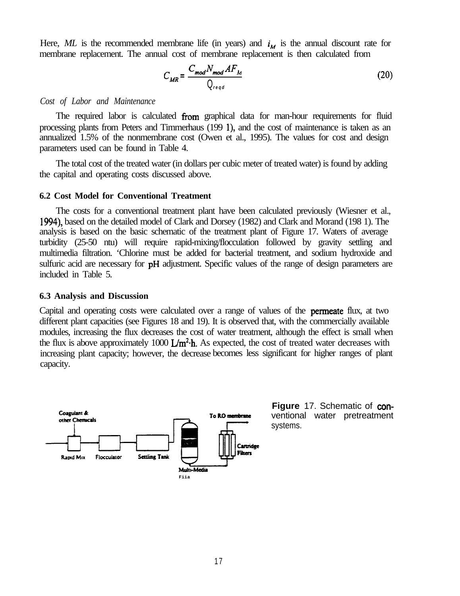Here, ML is the recommended membrane life (in years) and  $i_M$  is the annual discount rate for membrane replacement. The annual cost of membrane replacement is then calculated from

$$
C_{MR} = \frac{C_{mod} N_{mod} A F_M}{Q_{reqd}}
$$
 (20)

#### *Cost of Labor and Maintenance*

The required labor is calculated from graphical data for man-hour requirements for fluid processing plants from Peters and Timmerhaus (199 l), and the cost of maintenance is taken as an annualized 1.5% of the nonmembrane cost (Owen et al., 1995). The values for cost and design parameters used can be found in Table 4.

The total cost of the treated water (in dollars per cubic meter of treated water) is found by adding the capital and operating costs discussed above.

#### **6.2 Cost Model for Conventional Treatment**

The costs for a conventional treatment plant have been calculated previously (Wiesner et al., 1994), based on the detailed model of Clark and Dorsey (1982) and Clark and Morand (198 1). The analysis is based on the basic schematic of the treatment plant of Figure 17. Waters of average turbidity (25-50 ntu) will require rapid-mixing/flocculation followed by gravity settling and multimedia filtration. 'Chlorine must be added for bacterial treatment, and sodium hydroxide and sulfuric acid are necessary for **pH** adjustment. Specific values of the range of design parameters are included in Table 5.

#### **6.3 Analysis and Discussion**

Capital and operating costs were calculated over a range of values of the permeate flux, at two different plant capacities (see Figures 18 and 19). It is observed that, with the commercially available modules, increasing the flux decreases the cost of water treatment, although the effect is small when the flux is above approximately 1000  $\mathbf{L/m^2}\cdot\mathbf{h}$ . As expected, the cost of treated water decreases with increasing plant capacity; however, the decrease becomes less significant for higher ranges of plant capacity.



**Figure** 17. Schematic of conventional water pretreatment systems.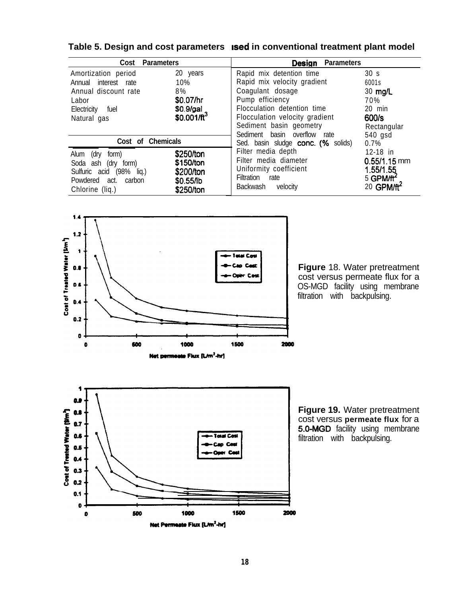|           | <b>Parameters</b><br>Design                                                                                                       |                                                                        |  |  |
|-----------|-----------------------------------------------------------------------------------------------------------------------------------|------------------------------------------------------------------------|--|--|
| 20 years  | Rapid mix detention time                                                                                                          | 30 <sub>s</sub>                                                        |  |  |
| 10%       | Rapid mix velocity gradient                                                                                                       | 6001s                                                                  |  |  |
| 8%        | Coagulant dosage                                                                                                                  | $30$ mg/L                                                              |  |  |
| \$0.07/hr | Pump efficiency                                                                                                                   | 70%                                                                    |  |  |
| \$0.9/gal | Flocculation detention time                                                                                                       | 20 min                                                                 |  |  |
|           | Flocculation velocity gradient                                                                                                    | 600/s                                                                  |  |  |
|           |                                                                                                                                   | Rectangular                                                            |  |  |
|           | Sediment basin overflow rate                                                                                                      | 540 gsd                                                                |  |  |
|           | Sed. basin sludge conc. (% solids)                                                                                                | $0.7\%$                                                                |  |  |
|           |                                                                                                                                   | $12-18$ in                                                             |  |  |
|           |                                                                                                                                   | $0.55/1.15$ mm                                                         |  |  |
|           | Uniformity coefficient                                                                                                            | 1.55/1.55                                                              |  |  |
|           | Filtration<br>rate                                                                                                                | $5$ GPM/ft <sup>2</sup>                                                |  |  |
|           | Backwash<br>velocity                                                                                                              | 20 GPM/ft <sup>2</sup>                                                 |  |  |
|           | <b>Parameters</b><br>\$0.001/ $\text{ft}^3$<br>Cost of Chemicals<br>\$250/ton<br>\$150/ton<br>\$200/ton<br>\$0.55/lb<br>\$250/ton | Sediment basin geometry<br>Filter media depth<br>Filter media diameter |  |  |

**Table 5. Design and cost parameters lsed in conventional treatment plant model**



**Figure** 18. Water pretreatment cost versus permeate flux for a OS-MGD facility using membrane filtration with backpulsing.



**Figure 19.** Water pretreatment cost versus **permeate flux** for a 5.0-MGD facility using membrane filtration with backpulsing.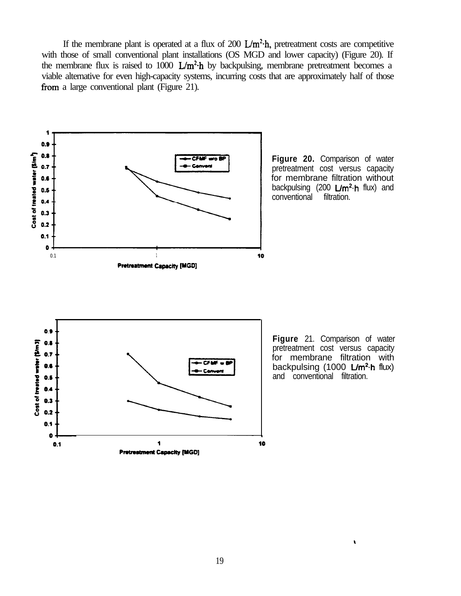If the membrane plant is operated at a flux of 200  $\text{L/m}^2$ -h, pretreatment costs are competitive with those of small conventional plant installations (OS MGD and lower capacity) (Figure 20). If the membrane flux is raised to 1000  $L/m^2$ -h by backpulsing, membrane pretreatment becomes a viable alternative for even high-capacity systems, incurring costs that are approximately half of those from a large conventional plant (Figure 21).



 $\mathbf{r}$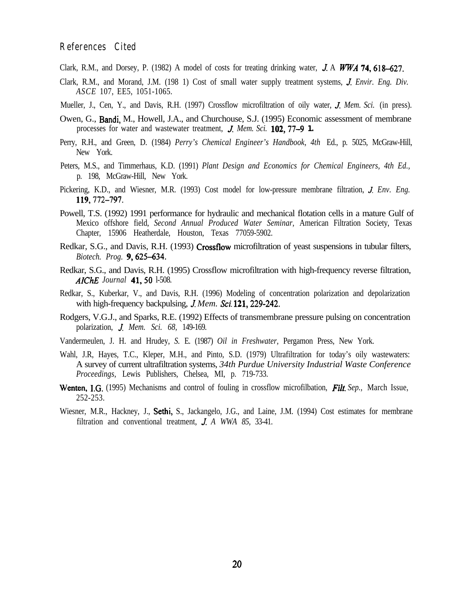### **References Cited**

- Clark, R.M., and Dorsey, P. (1982) A model of costs for treating drinking water, J. A WWA 74, 618–627.
- Clark, R.M., and Morand, J.M. (198 1) Cost of small water supply treatment systems, *J. Envir. Eng. Div. ASCE* 107, EE5, 1051-1065.
- Mueller, J., Cen, Y., and Davis, R.H. (1997) Crossflow microfiltration of oily water, J. *Mem. Sci.* (in press).
- Owen, G., Bandi, M., Howell, J.A., and Churchouse, S.J. (1995) Economic assessment of membrane processes for water and wastewater treatment, J. *Mem. Sci.* **102,77-9 1.**
- Perry, R.H., and Green, D. (1984) *Perry's Chemical Engineer's Handbook, 4th* Ed., p. 5025, McGraw-Hill, New York.
- Peters, M.S., and Timmerhaus, K.D. (1991) *Plant Design and Economics for Chemical Engineers, 4th Ed.,* p. 198, McGraw-Hill, New York.
- Pickering, K.D., and Wiesner, M.R. (1993) Cost model for low-pressure membrane filtration, J. *Env. Eng.* **119,772-797.**
- Powell, T.S. (1992) 1991 performance for hydraulic and mechanical flotation cells in a mature Gulf of Mexico offshore field, *Second Annual Produced Water Seminar,* American Filtration Society, Texas Chapter, 15906 Heatherdale, Houston, Texas 77059-5902.
- Redkar, S.G., and Davis, R.H. (1993) Crossflow microfiltration of yeast suspensions in tubular filters, *Biotech. Prog. 9,625-634.*
- Redkar, S.G., and Davis, R.H. (1995) Crossflow microfiltration with high-frequency reverse filtration, *AIChE Journal 41,50* l-508.
- Redkar, S., Kuberkar, V., and Davis, R.H. (1996) Modeling of concentration polarization and depolarization with high-frequency backpulsing, *J. Mem. Sci.* **121, 229-242.**
- Rodgers, V.G.J., and Sparks, R.E. (1992) Effects of transmembrane pressure pulsing on concentration polarization, J. *Mem. Sci. 68,* 149-169.
- Vandermeulen, J. H. and Hrudey, *S.* E. (1987) *Oil in Freshwater,* Pergamon Press, New York.
- Wahl, J.R, Hayes, T.C., Kleper, M.H., and Pinto, S.D. (1979) Ultrafiltration for today's oily wastewaters: A survey of current ultrafiltration systems, *34th Purdue University Industrial Waste Conference Proceedings,* Lewis Publishers, Chelsea, MI, p. 719-733.
- Wenten, I.G. (1995) Mechanisms and control of fouling in crossflow microfilbation, *Filt. Sep.*, March Issue, 252-253.
- Wiesner, M.R., Hackney, J., Sethi, S., Jackangelo, J.G., and Laine, J.M. (1994) Cost estimates for membrane filtration and conventional treatment, J. *A WWA 85,* 33-41.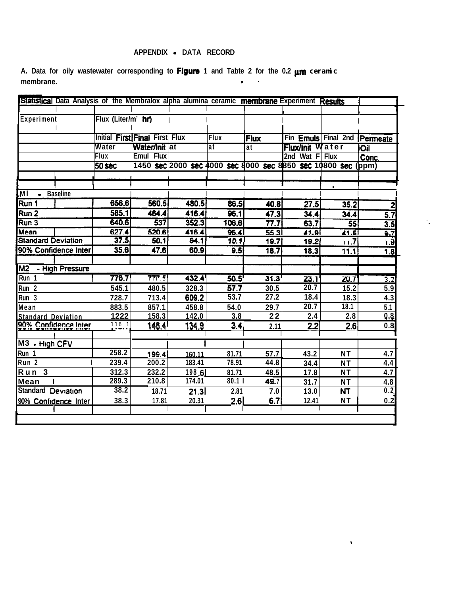## **APPENDIX - DATA RECORD**

A. Data for oily wastewater corresponding to Figure 1 and Tabte 2 for the 0.2  $\mu$ m ceranic **membrane. - .**

| Statistical Data Analysis of the Membralox alpha alumina ceramic membrane Experiment Results |                    |                                           |        |             |                                                        |                            |             |                             |
|----------------------------------------------------------------------------------------------|--------------------|-------------------------------------------|--------|-------------|--------------------------------------------------------|----------------------------|-------------|-----------------------------|
|                                                                                              |                    |                                           |        |             |                                                        |                            |             |                             |
| Experiment                                                                                   | Flux (Liter/m' hr) |                                           |        |             |                                                        |                            |             |                             |
|                                                                                              |                    |                                           |        |             |                                                        |                            |             |                             |
|                                                                                              |                    | Initial First Final First   Flux          |        | <b>Flux</b> | Flux                                                   | Fin <b>Emuls</b> Final 2nd |             | Permeate                    |
|                                                                                              | Water<br>Flux      | <b>Water/Init lat</b><br><b>Emul Flux</b> |        | at          | at                                                     | <b>Flux/Init</b>           | Water       | Oil                         |
|                                                                                              |                    |                                           |        |             | 1450 sec 2000 sec 4000 sec 8000 sec 8850 sec 10800 sec | 2nd Wat<br>F               | <b>Flux</b> | Conc.                       |
|                                                                                              | 50 sec             |                                           |        |             |                                                        |                            |             | (ppm                        |
|                                                                                              |                    |                                           |        |             |                                                        |                            |             |                             |
| <b>Baseline</b><br>$\overline{M}$                                                            |                    |                                           |        |             |                                                        |                            |             |                             |
| Run 1                                                                                        | 656.6              | 560.5                                     | 480.5  | 86.5        | 40.8                                                   | 27.5                       | 35.2        |                             |
| Run <sub>2</sub>                                                                             | 585.1              | 464.4                                     | 416.4  | 96.1        | 47.3                                                   | 34.4                       | 34.4        | 5.7                         |
| Run 3                                                                                        | 640.6              | 537                                       | 352.3  | 106.6       | 77.7                                                   | 63.7                       | 55          | $\overline{3.5}$            |
| lMean                                                                                        | 627.4              | 520.6                                     | 416.4  | 96.4        | 55.3                                                   | 41.9                       | 41.5        | $\overline{\mathbf{3.7}}$   |
| <b>Standard Deviation</b>                                                                    | 37.5               | 50.1                                      | 64.1   | 10.1        | 19.7                                                   | 19.2                       | 11.7        | ้เ.9ิ                       |
| 90% Confidence Inter                                                                         | 35.6               | 47.6                                      | 60.9   | 9.5         | 18.7                                                   | 18.3                       | 11.1        | 1.8                         |
|                                                                                              |                    |                                           |        |             |                                                        |                            |             |                             |
| M2<br>- High Pressure                                                                        |                    |                                           |        |             |                                                        |                            |             |                             |
| Run 1                                                                                        | 776.7              | 777.5                                     | 432.4  | 50.5        | 31.3                                                   | 23.1                       | 20.7        | $\overline{3.\overline{2}}$ |
| Run <sub>2</sub>                                                                             | 545.1              | 480.5                                     | 328.3  | 57.7        | 30.5                                                   | 20.7                       | 15.2        | 5.9                         |
| Run 3                                                                                        | 728.7              | 713.4                                     | 609.2  | 53.7        | 27.2                                                   | 18.4                       | 18.3        | 4.3                         |
| Mean                                                                                         | 883.5              | 857.1                                     | 458.8  | 54.0        | 29.7                                                   | 20.7                       | 18.1        | 5.1                         |
| <b>Standard Deviation</b>                                                                    | 1222               | 158.3                                     | 142.0  | 3.8         | 22                                                     | 2.4                        | 2.8         | 0,8.                        |
| 90% Confidence Inter                                                                         | 116 1              | <u>148.41</u>                             | 134.9  | 3.4         | 2.11                                                   | 2.2                        | 2.6         | 0.8                         |
|                                                                                              |                    |                                           |        |             |                                                        |                            |             |                             |
| M3 - High CFV                                                                                |                    |                                           |        |             |                                                        |                            |             |                             |
| Run 1                                                                                        | 258.2              | 199.4                                     | 160.11 | 81.71       | 57.7                                                   | 43.2                       | <b>NT</b>   | 4.7                         |
| Run <sub>2</sub>                                                                             | 239.4              | 200.2                                     | 183.41 | 78.91       | 44.8                                                   | 34.4                       | <b>NT</b>   | 4.4                         |
| Run <sub>3</sub>                                                                             | 312.3              | 232.2                                     | 198.6  | 81.71       | 48.5                                                   | 17.8                       | <b>NT</b>   | 4.7                         |
| <b>Mean</b>                                                                                  | 289.3              | 210.8                                     | 174.01 | 80.11       | 49.7                                                   | 31.7                       | <b>NT</b>   | 4.8                         |
| <b>Standard Deviation</b>                                                                    | 38.2               | 18.71                                     | 21.3   | 2.81        | 7.0                                                    | 13.0                       | <b>NT</b>   | 0.2                         |
| 90% Confidence Inter                                                                         | 38.3               | 17.81                                     | 20.31  | 2.6         | 6.7                                                    | 12.41                      | <b>NT</b>   | 0.2                         |

 $\mathcal{L}_{\mathbf{z}}$ 

 $\hat{\mathbf{r}}$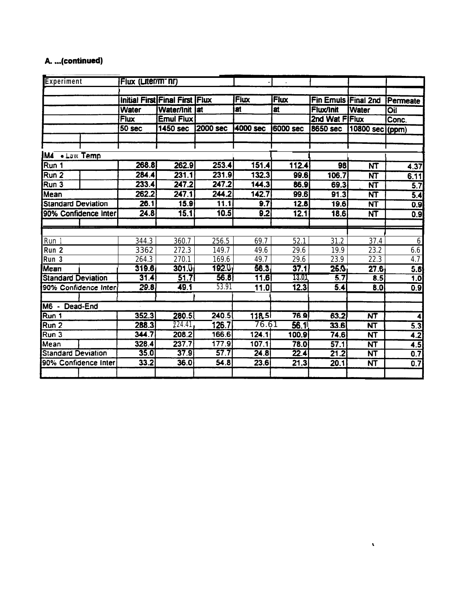# A. ...(continued)

| Experiment                | Flux (Liter/m <sup>-</sup> nr) |                                |          |           |                  |                     |                          |                  |
|---------------------------|--------------------------------|--------------------------------|----------|-----------|------------------|---------------------|--------------------------|------------------|
|                           |                                |                                |          |           |                  |                     |                          |                  |
|                           |                                | Initial First Final First Flux |          | Flux      | Flux             | Fin Emuls Final 2nd |                          | Permeate         |
|                           | Water                          | Water/Init   at                |          | <b>at</b> | <b>at</b>        | <b>Flux/Init</b>    | <b>Water</b>             | <b>Oil</b>       |
|                           | <b>Flux</b>                    | Emul Flux                      |          |           |                  | 2nd Wat FIFlux      |                          | Conc.            |
|                           | 50 sec                         | <b>1450 sec</b>                | 2000 sec | 4000 sec  | <b>16000 sec</b> | 8650 sec            | 10800 sec)(ppm)          |                  |
|                           |                                |                                |          |           |                  |                     |                          |                  |
|                           |                                |                                |          |           |                  |                     |                          |                  |
| <b>M4</b> • Law Temp      |                                |                                |          |           |                  |                     |                          |                  |
| Run 1                     | 268.8                          | 262.9                          | 253.4    | 151.4     | 112.4            | 98                  | NT                       | 4.37             |
| Run 2                     | 284.4                          | 231.1                          | 231.9    | 132.3     | 99.6             | 106.7               | $\overline{\text{NT}}$   | 6.11             |
| Run 3                     | 233.4                          | 247.2                          | 247.2    | 144.3     | 86.9             | 69.3                | <b>NT</b>                | $\overline{5.7}$ |
| Mean                      | 262.2                          | 247.1                          | 244.2    | 142.7     | 99.6             | 91.3                | $\overline{\mathsf{NT}}$ | 5.4              |
| <b>Standard Deviation</b> | 26.1                           | 15.9                           | 11.1     | 9.7       | 12.8             | 19.6                | NT                       | 0.9              |
| 90% Confidence Inter      | 24.8                           | 15.1                           | 10.5     | 9.2       | 12.1             | 18.6                | <b>NT</b>                | 0.9              |
|                           |                                |                                |          |           |                  |                     |                          |                  |
|                           |                                |                                |          |           |                  |                     |                          |                  |
| Run 1                     | 344.3                          | 360.7                          | 256.5    | 69.7      | 52.1             | 31.2                | 37.4                     | 6                |
| Run <sub>2</sub>          | 3362                           | 272.3                          | 149.7    | 49.6      | 29.6             | 19.9                | 23.2                     | 6.6              |
| Run 3                     | 264.3                          | 270.1                          | 169.6    | 49.7      | 29.6             | 23.9                | 22.3                     | 4.7              |
| Mean                      | 319.6                          | 301.0                          | 192.0    | 56.3      | 37.1             | 25.0                | 27.6                     | 5.8              |
| <b>Standard Deviation</b> | 31.4                           | 51.7                           | 56.8     | 11.6      | 13.01            | 5.7                 | 8.5                      | 1.0              |
| 90% Confidence Inter      | 29.8                           | 49.1                           | 53.91    | 11.0      | 12.3             | 5.4                 | 8.0                      | 0.9              |
|                           |                                |                                |          |           |                  |                     |                          |                  |
| M6 - Dead-End             |                                |                                |          |           |                  |                     |                          |                  |
| Run 1                     | 352.3                          | 280.5                          | 240.5    | 118.5     | 76.9             | 63.2                | <b>NT</b>                |                  |
| Run <sub>2</sub>          | 288.3                          | 224.41                         | 126.7    | 76.61     | 56.11            | 33.6                | <b>NT</b>                | 5.3              |
| Run <sub>3</sub>          | 344.7                          | 208.2                          | 166.6    | 124.1     | 100.9            | 74.6                | <b>NT</b>                | 4.2              |
| Mean                      | 328.4                          | 237.7                          | 177.9    | 107.1     | 78.0             | 57.1                | $\overline{\mathsf{NT}}$ | $\overline{4.5}$ |
| <b>Standard Deviation</b> | 35.0                           | 37.9                           | 57.7     | 24.8      | 22.4             | 21.2                | NT                       | 0.7              |
| 90% Confidence Inter      | 33.2                           | 36.0                           | 54.8     | 23.6      | 21.3             | 20.1                | <b>NT</b>                | $\overline{0.7}$ |
|                           |                                |                                |          |           |                  |                     |                          |                  |
|                           |                                |                                |          |           |                  |                     |                          |                  |

 $\pmb{\chi}$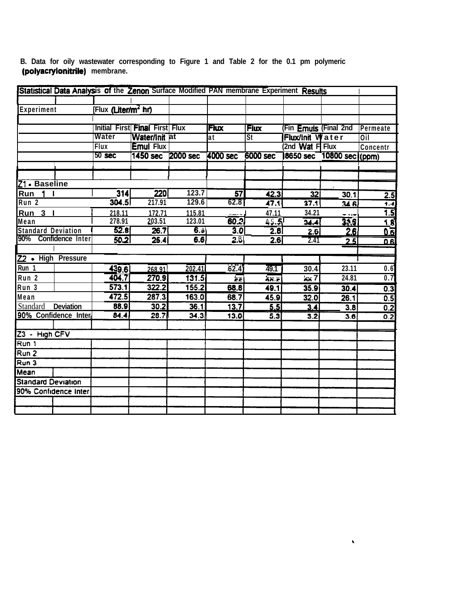| Statistical Data Analysis of the Zenon Surface Modified PAN membrane Experiment Results |                         |                                 |                                |          |                         |             |                              |                  |                   |
|-----------------------------------------------------------------------------------------|-------------------------|---------------------------------|--------------------------------|----------|-------------------------|-------------|------------------------------|------------------|-------------------|
|                                                                                         |                         |                                 |                                |          |                         |             |                              |                  |                   |
| Experiment                                                                              |                         | [Flux (Liter/m <sup>2</sup> hr) |                                |          |                         |             |                              |                  |                   |
|                                                                                         |                         |                                 |                                |          |                         |             |                              |                  |                   |
|                                                                                         |                         |                                 | Initial First Final First Flux |          | <b>Flux</b>             | <b>Flux</b> | (Fin <b>Emuls</b> (Final 2nd |                  | Permeate          |
|                                                                                         |                         | Water                           | Water/Init at                  |          | at                      | <b>St</b>   | <b>Flux/init Water</b>       |                  | $\overline{O}$ il |
|                                                                                         |                         | Flux                            | <b>Emul Flux</b>               |          |                         |             | (2nd Wat F Flux              |                  | Concentr          |
|                                                                                         |                         | 50 <sub>sec</sub>               | <b>1450 sec</b>                | 2000 sec | 4000 sec                | 6000 sec    | <b>8650 sec</b>              | 10800 sec ((ppm) |                   |
|                                                                                         |                         |                                 |                                |          |                         |             |                              |                  |                   |
|                                                                                         |                         |                                 |                                |          |                         |             |                              |                  |                   |
| Z1 - Baseline                                                                           |                         |                                 |                                |          |                         |             |                              |                  |                   |
| Run                                                                                     |                         | 314                             | 220                            | 123.7    | 57                      | 42.3        | $\overline{32}$              | 30.1             | 2.5               |
| Run <sub>2</sub>                                                                        |                         | 304.5                           | 217.91                         | 129.6    | 62.8                    | 47.1        | 37.1                         | 346              | 1.4               |
| Run <sub>3</sub>                                                                        |                         | 218.11                          | 172.71                         | 115.81   |                         | 47.11       | 34.21                        |                  | 1.5               |
| Mean                                                                                    |                         | 278.91                          | 203.51                         | 123.01   | 60.2                    | AG.5        | 34.4                         | 35.5             | 1.8               |
| <b>Standard Deviation</b>                                                               |                         | 52.8                            | 26.7                           | 6.8      | 3.0                     | 2.8         | 2.6                          | <u> 2.6)</u>     | $0.\overline{6}$  |
| 90%                                                                                     | <b>Confidence Inter</b> | 50.2                            | 25.4                           | 6.6      | 2.B                     | 2.6         | 2.41                         | 2.5              | 0.6               |
|                                                                                         |                         |                                 |                                |          |                         |             |                              |                  |                   |
| Z2 • High Pressure                                                                      |                         |                                 |                                |          |                         |             |                              |                  |                   |
| Run 1                                                                                   |                         | 439.6                           | 268.91                         | 202.41   | 62.4)                   | 49.1        | 30.4                         | 23.11            | 0.6               |
| Run <sub>2</sub>                                                                        |                         | 404.7                           | 270.9                          | 131.5    | $\overline{\mathbf{e}}$ | 57.5        | 557                          | 24.81            | $\overline{0.7}$  |
| Run 3                                                                                   |                         | 573.1                           | 322.2                          | 155.2    | 68.8                    | 49.1        | 35.9                         | 30.4             | 0.3               |
| Mean                                                                                    |                         | 472.5                           | 287.3                          | 163.0    | 68.7                    | 45.9        | 32.0                         | 26.1             | 0.5               |
| Standard                                                                                | <b>Deviation</b>        | 88.9                            | 30.2                           | 36.1     | 13.7                    | 5.5         | 3.4                          | 3.8              | 0.2               |
| 90% Confidence Inter                                                                    |                         | 84.4                            | 28.7                           | 34.3     | 13.0                    | 5.3         | 3.2                          | 3.6              | 0.2               |
|                                                                                         |                         |                                 |                                |          |                         |             |                              |                  |                   |
| $23 - High CFV$                                                                         |                         |                                 |                                |          |                         |             |                              |                  |                   |
| Run 1                                                                                   |                         |                                 |                                |          |                         |             |                              |                  |                   |
| Run <sub>2</sub>                                                                        |                         |                                 |                                |          |                         |             |                              |                  |                   |
| $\overline{Run}$ 3                                                                      |                         |                                 |                                |          |                         |             |                              |                  |                   |
| Mean                                                                                    |                         |                                 |                                |          |                         |             |                              |                  |                   |
| <b>Standard Deviation</b>                                                               |                         |                                 |                                |          |                         |             |                              |                  |                   |
| 90% Confidence Inter                                                                    |                         |                                 |                                |          |                         |             |                              |                  |                   |
|                                                                                         |                         |                                 |                                |          |                         |             |                              |                  |                   |
|                                                                                         |                         |                                 |                                |          |                         |             |                              |                  |                   |

 $\hat{\mathbf{v}}$ 

**B. Data for oily wastewater corresponding to Figure 1 and Table 2 for the 0.1 pm polymeric (polyacrylonitrile) membrane.**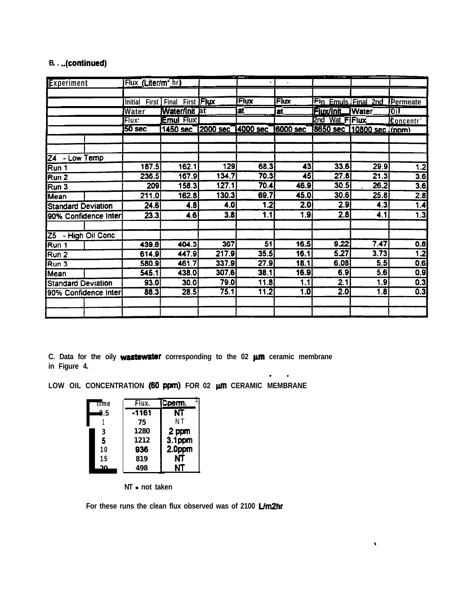## **B. . ..(continued)**

| Experiment                |  | Flux (Liter/m <sup>2</sup> hr) |                        |                            |                 |                 | <b>CONTRACTOR</b> |                                    |                       |
|---------------------------|--|--------------------------------|------------------------|----------------------------|-----------------|-----------------|-------------------|------------------------------------|-----------------------|
|                           |  |                                |                        |                            |                 |                 |                   |                                    |                       |
|                           |  | Initial                        | First Final First Flux |                            | Flux            | <b>Flux</b>     |                   | Fin Emuls Final 2nd Permeate       |                       |
|                           |  | Water                          | Water/Init at          |                            | at              | at.             | Flux/Init         | <b>IWater</b>                      | loil                  |
|                           |  | Flux'                          | <b>Emul Flux</b>       |                            |                 |                 | 2nd Wat FiFlux    |                                    | Concentr <sup>*</sup> |
|                           |  | <b>50 sec</b>                  |                        | 1450 sec 2000 sec 4000 sec |                 |                 |                   | 6000 sec 8650 sec 10800 sec ((ppm) |                       |
|                           |  |                                |                        |                            |                 |                 |                   |                                    |                       |
| Z4 - Low Temp             |  |                                |                        |                            |                 |                 |                   |                                    |                       |
| Run 1                     |  | 187.5                          | 162.1                  | 129                        | 68.3            | 43              | 33.6              | 29.9                               | 1.2                   |
| Run 2                     |  | 236.5                          | 167.9                  | 134.7                      | 70.3            | $\overline{45}$ | 27.8              | 21.3                               | 3.6                   |
| Run 3                     |  | 209                            | 158.3                  | 127.1                      | 70.4            | 46.9            | 30.5              | 26.2                               | 3.6                   |
| Mean                      |  | 211.0                          | 162.8                  | 130.3                      | 69.7            | 45.0            | 30.6              | 25.8                               | $\overline{2.8}$      |
| <b>Standard Deviation</b> |  | 24.6                           | 4.8                    | 4.0                        | 1.2             | 2.0             | $\overline{2.9}$  | 4.3                                | 1.4                   |
| 90% Confidence Inter      |  | 23.3                           | 4.6                    | 3.8                        | 1.1             | 1.9             | 2.8               | 4.1                                | 1.3                   |
| Z5 - High Oil Conc        |  |                                |                        |                            |                 |                 |                   |                                    |                       |
| Run 1                     |  | 439.6                          | 404.3                  | 367                        | $\overline{51}$ | 16.5            | 9.22              | 7.47                               | 0.8                   |
| Run 2                     |  | 614.9                          | 447.9                  | 217.9                      | 35.5            | 16.1            | 5.27              | 3.73                               | $\overline{1.2}$      |
| Run 3                     |  | 580.9                          | 461.7                  | 337.9                      | 27.9            | 18.1            | 6.08              | 5.5                                | 0.6                   |
| Mean                      |  | 545.1                          | 438.0                  | 307.6                      | 38.1            | 16.9            | 6.9               | 5.6                                | 0.9                   |
| <b>Standard Deviation</b> |  | 93.0                           | 30.0                   | 79.0                       | 11.8            | 1.1             | 2.1               | 1.9                                | 0.3                   |
| 90% Confidence Inter      |  | 88.3                           | 28.5                   | 75.1                       | 11.2            | 1.0             | $\overline{2.0}$  | 1.8                                | 0.3                   |
|                           |  |                                |                        |                            |                 |                 |                   |                                    |                       |
|                           |  |                                |                        |                            |                 |                 |                   |                                    |                       |

**- \_**

 $\pmb{\chi}$ 

C. Data for the oily **wastewater** corresponding to the 02  $\mu$ m ceramic membrane **in Figure 4.**

**LOW OIL CONCENTRATION (60** ppm) **FOR 02 pm CERAMIC MEMBRANE**

| time | Flux.   | Cperm. |
|------|---------|--------|
| 0.5  | $-1161$ | NT     |
|      | 75      | NT     |
| 3    | 1280    | 2 ppm  |
| 5    | 1212    | 3.1ppm |
| 10   | 936     | 2.0ppm |
| 15   | 819     | NΤ     |
| ΩA   | 498     | NT     |
|      |         |        |

**NT - not taken**

**For these runs the clean flux observed was of 2100 Um2hr**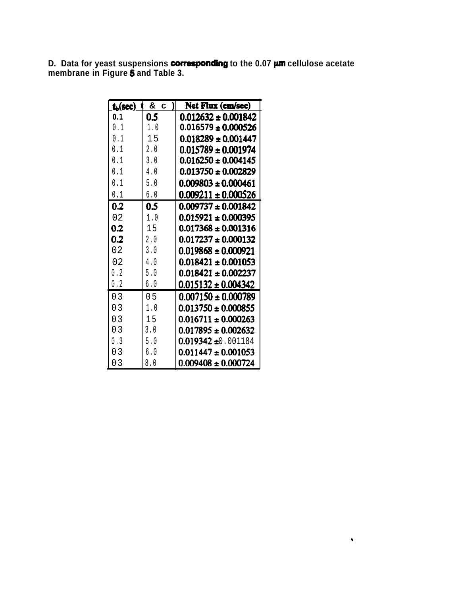**D.** Data for yeast suspensions corresponding to the 0.07  $\mu$ m cellulose acetate **membrane in Figure 5 and Table 3.**

| $\mathbf{t}_b(\sec)$ | &<br>C.  | Net Flux (cm/sec)       |
|----------------------|----------|-------------------------|
| 0.1                  | 0.5      | $0.012632 \pm 0.001842$ |
| N 1                  | 1.0      | $0.016579 \pm 0.000526$ |
| N 1                  | 15       | $0.018289 \pm 0.001447$ |
| 0.1                  | 2.0      | $0.015789 \pm 0.001974$ |
| 0.1                  | 3.0      | $0.016250 \pm 0.004145$ |
| N 1                  | 4.0      | $0.013750 \pm 0.002829$ |
| 0.1                  | 5.0      | $0.009803 \pm 0.000461$ |
| 0.1                  | 6.0      | $0.009211 \pm 0.000526$ |
| 0.2                  | 0.5      | $0.009737 \pm 0.001842$ |
| 02                   | 1.0      | $0.015921 \pm 0.000395$ |
| 0.2                  | 15       | $0.017368 \pm 0.001316$ |
| 0.2                  | 2.0      | $0.017237 \pm 0.000132$ |
| 02                   | 3.0      | $0.019868 \pm 0.000921$ |
| 02                   | 4.0      | $0.018421 \pm 0.001053$ |
| 0.2                  | 5.0      | $0.018421 \pm 0.002237$ |
| 0.2                  | 6.0      | $0.015132 \pm 0.004342$ |
| ი ვ                  | 0 5      | $0.007150 \pm 0.000789$ |
| 03                   | $1_{.0}$ | $0.013750 \pm 0.000855$ |
| 03                   | 15       | $0.016711 \pm 0.000263$ |
| 03                   | 3.0      | $0.017895 \pm 0.002632$ |
| 0.3                  | 5.0      | $0.019342 \pm 0.001184$ |
| 3<br>N               |          | $0.011447 \pm 0.001053$ |
| 03                   | 8.0      | $0.009408 \pm 0.000724$ |

 $\mathbf{v}$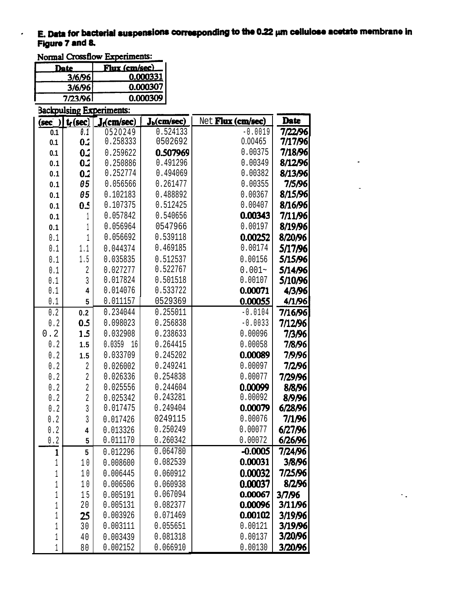# E. Data for bacterial suspensions corresponding to the 0.22  $\mu$ m cellulose acetate membrane in Figure 7 and 8.<br>Normal Crossflow Experiments: Figure 7 and 8.

 $\bullet$ 

| Date    | Flux (cm/sec) |  |  |  |  |
|---------|---------------|--|--|--|--|
| 3/6/96  | 0.000331      |  |  |  |  |
| 3/6/96  | 0.000307      |  |  |  |  |
| 7/23/96 | 0.000309      |  |  |  |  |
|         |               |  |  |  |  |

| <b>Backpulsing Experiments:</b> |             |                         |                         |                   |             |  |  |
|---------------------------------|-------------|-------------------------|-------------------------|-------------------|-------------|--|--|
| (sec)                           | $t_f(\sec)$ | J <sub>r</sub> (cm/sec) | J <sub>b</sub> (cm/sec) | Net Flux (cm/sec) | <b>Date</b> |  |  |
| 0.1                             | 0.1         | 0520249                 | 0.524133                | $-0.0019$         | 7/22/96     |  |  |
| 0.1                             | 0.2         | 0.258333                | 0502692                 | 0.00465           | 7/17/96     |  |  |
| 0.1                             | 0.2         | 0.259622                | 0.507969                | 0.00375           | 7/18/96     |  |  |
| 0.1                             | 0.2         | 0.250886                | 0.491296                | 0.00349           | 8/12/96     |  |  |
| 0.1                             | 0.2         | 0.252774                | 0.494069                | 0.00382           | 8/13/96     |  |  |
| 0.1                             | 05          | 0.056566                | 0.261477                | 0.00355           | 7/5/96      |  |  |
| 0.1                             | 05          | 0.102183                | 0.488892                | 0.00367           | 8/15/96     |  |  |
| 0.1                             | 0.5         | 0.107375                | 0.512425                | 0.00407           | 8/16/96     |  |  |
| 0.1                             | 1           | 0.057842                | 0.540656                | 0.00343           | 7/11/96     |  |  |
| 0.1                             | 1           | 0.056964                | 0547966                 | 0.00197           | 8/19/96     |  |  |
| 0.1                             | 1           | 0.056692                | 0.539118                | 0.00252           | 8/20/96     |  |  |
| 0.1                             | 1.1         | 0.044374                | 0.469185                | 0.00174           | 5/17/96     |  |  |
| 0.1                             | 1.5         | 0.035835                | 0.512537                | 0.00156           | 5/15/96     |  |  |
| 0.1                             | 2           | 0.027277                | 0.522767                | $0.001 -$         | 5/14/96     |  |  |
| 0.1                             | 3           | 0.017824                | 0.501518                | 0.00107           | 5/10/96     |  |  |
| 0.1                             | 4           | 0.014076                | 0.533722                | 0.00071           | 4/3/96      |  |  |
| 0.1                             | 5           | 0.011157                | 0529369                 | 0.00055           | 4/1/96      |  |  |
| 0.2                             | 0.2         | 0.234044                | 0.255011                | $-0.0104$         | 7/16/96     |  |  |
| $0.2$                           | 0.5         | 0.098023                | 0.256838                | $-0.0033$         | 7/12/96     |  |  |
| 0.2                             | 1.5         | 0.032908                | 0.238633                | 0.00096           | 7/3/96      |  |  |
| ${\bf 0}$ . ${\bf 2}$           | 1.5         | 0.0359<br>16            | 0.264415                | 0.00058           | 7/8/96      |  |  |
| 0.2                             | 1.5         | 0.033709                | 0.245202                | 0.00089           | 7/9/96      |  |  |
| ${\bf 0}$ . ${\bf 2}$           | 2           | 0.026002                | 0.249241                | 0.00097           | 7/2/96      |  |  |
| $\ensuremath{\text{0}}$ . $2$   | 2           | 0.026336                | 0.254838                | 0.00077           | 7/29/96     |  |  |
| $\ensuremath{\text{0}}$ . $2$   | 2           | 0.025556                | 0.244604                | 0.00099           | 8/8/96      |  |  |
| $\ensuremath{\text{0}}$ . $2$   | $\sqrt{2}$  | 0.025342                | 0.243281                | 0.00092           | 8/9/96      |  |  |
| 0.2                             | 3           | 0.017475                | 0.249404                | 0.00079           | 6/28/96     |  |  |
| 0.2                             | 3           | 0.017426                | 0249115                 | 0.00076           | 7/1/96      |  |  |
| 0.2                             | 4           | 0.013326                | 0.250249                | 0.00077           | 6/27/96     |  |  |
| $\overline{2}$<br>0.            | 5           | 0.011170                | 0.260342                | 0.00072           | 6/26/96     |  |  |
| $\mathbf{1}$                    | 5           | 0.012296                | 0.064780                | $-0.0005$         | 7/24/96     |  |  |
| 1                               | 10          | 0.008600                | 0.082539                | 0.00031           | 3/8/96      |  |  |
| 1                               | 10          | 0.006445                | 0.060912                | 0.00032           | 7/25/96     |  |  |
| $1\,$                           | 10          | 0.006506                | 0.060938                | 0.00037           | 8/2/96      |  |  |
| 1                               | 15          | 0.005191                | 0.067094                | 0.00067           | 3/7/96      |  |  |
| 1                               | 20          | 0.005131                | 0.082377                | 0.00096           | 3/11/96     |  |  |
| 1                               | 25          | 0.003926                | 0.071469                | 0.00102           | 3/19/96     |  |  |
| 1                               | 30          | 0.003111                | 0.055651                | 0.00121           | 3/19/96     |  |  |
| 1                               | 40          | 0.003439                | 0.081318                | 0.00137           | 3/20/96     |  |  |
| 1                               | 80          | 0.002152                | 0.066910                | 0.00130           | 3/20/96     |  |  |

 $\ddot{\phantom{a}}$  .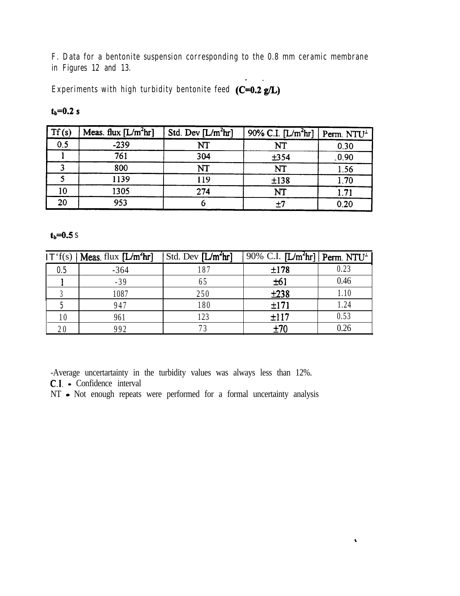**F. Data for a bentonite suspension corresponding to the 0.8 mm ceramic membrane in Figures 12 and 13.**

**Experiments with high turbidity bentonite feed (C=0.2 g/L)** 

| ٦ |  |
|---|--|
|---|--|

| $\vert Tf(s)$ | Meas. flux $[L/m^2hr]$ | Std. Dev $[L/m^2hr]$ | 90% C.I. [L/m <sup>2</sup> hr] Perm. NTU <sup>1</sup> |       |
|---------------|------------------------|----------------------|-------------------------------------------------------|-------|
| 0.5           | $-239$                 | NT                   | NT                                                    | 0.30  |
|               | 761                    | 304                  | ±354                                                  | .0.90 |
|               | 800                    | NT                   | NT                                                    | 1.56  |
|               | 1139                   | 119                  | ±138                                                  | 1.70  |
| 10            | 1305                   | 274                  | NT                                                    | 1.71  |
| 20            | 953                    |                      |                                                       | 0.20  |

 $t_b = 0.5 s$ 

|     | $IT'f(s)$   Meas. flux $[L/m2hr]$ | $\vert$ Std. Dev $\vert L/m^2$ hr $\vert$ | $\sqrt{90\% \text{ C.I.}}$ [L/m <sup>2</sup> hr] Perm. NTU <sup>1</sup> |      |
|-----|-----------------------------------|-------------------------------------------|-------------------------------------------------------------------------|------|
| 0.5 | $-364$                            | 187                                       | ±178                                                                    | 0.23 |
|     | $-39$                             |                                           | ±61                                                                     | 0.46 |
|     | 1087                              | 250                                       | ±238                                                                    | 1.10 |
|     | 947                               | 180                                       | ±171                                                                    | 1.24 |
|     | 961                               | 123                                       | ±117                                                                    | 0.53 |
|     | 992                               |                                           | $+70$                                                                   | 0.26 |

 $\ddot{\phantom{0}}$ 

-Average uncertartainty in the turbidity values was always less than 12%. C.1. - Confidence interval

NT - Not enough repeats were performed for a formal uncertainty analysis